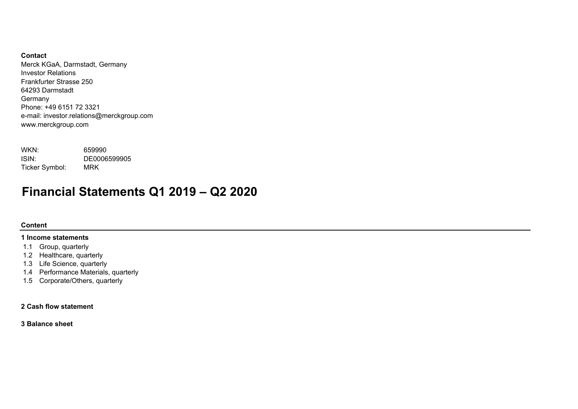# **Contact**

Merck KGaA, Darmstadt, Germany Investor RelationsFrankfurter Strasse 25064293 DarmstadtGermany Phone: +49 6151 72 3321e-mail: investor.relations@merckgroup.com www.merckgroup.com

| WKN:           | 659990       |
|----------------|--------------|
| ISIN:          | DE0006599905 |
| Ticker Symbol: | MRK          |

# **Financial Statements Q1 2019 – Q2 2020**

# **Content**

### **1 Income statements**

- 1.1 Group, quarterly
- 1.2 Healthcare, quarterly
- 1.3 Life Science, quarterly
- 1.4 Performance Materials, quarterly
- 1.5 Corporate/Others, quarterly

# **2 Cash flow statement**

**3 Balance sheet**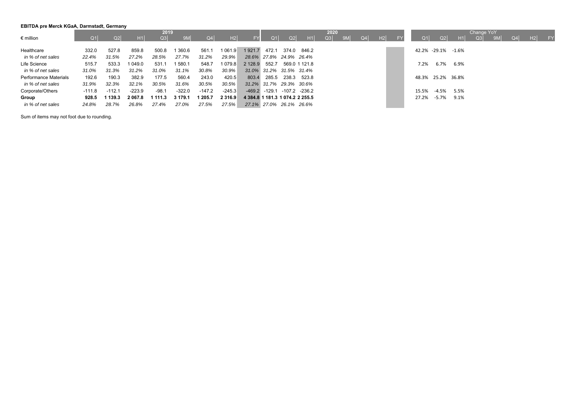# **EBITDA pre Merck KGaA, Darmstadt, Germany**

|                       |        |                |             | 2019    |          |          |             |                                 |            |                                     |               | 2020 |    |    |    |       |                    |      | Change YoY |           |                |    |     |
|-----------------------|--------|----------------|-------------|---------|----------|----------|-------------|---------------------------------|------------|-------------------------------------|---------------|------|----|----|----|-------|--------------------|------|------------|-----------|----------------|----|-----|
| $\epsilon$ million    | O1     | Q <sub>2</sub> | H1          | Q3      | 9M       | Q4       | H2          | <b>FY</b>                       | $\Omega$ 1 | Q2                                  | H1            | Q3   | 9M | Q4 | H2 |       | O1<br>Q2           | H1   | Q3         | <b>9M</b> | Q <sub>4</sub> | H2 | FY. |
| Healthcare            | 332.0  | 527.8          | 859.8       | 500.8   | 360.6    | 561.1    | 1 0 6 1 .9  | 1921.7                          | 472.1      |                                     | 374.0 846.2   |      |    |    |    |       | 42.2% -29.1% -1.6% |      |            |           |                |    |     |
| in % of net sales     | 22.4%  | 31.5%          | 27.2%       | 28.5%   | 27.7%    | 31.2%    | 29.9%       |                                 |            | 28.6% 27.8% 24.9% 26.4%             |               |      |    |    |    |       |                    |      |            |           |                |    |     |
| Life Science          | 515.7  | 533.3          | 1 049.0     | 531.1   | 1 580.1  | 548.7    | 1 0 7 9 . 8 | 2 1 2 8 .9                      | 552.7      |                                     | 569.0 1 121.8 |      |    |    |    | 7.2%  | 6.7%               | 6.9% |            |           |                |    |     |
| in % of net sales     | 31.0%  | 31.3%          | 31.2%       | 31.0%   | 31.1%    | 30.8%    | 30.9%       |                                 |            | 31.0% 31.2% 31.5% 31.4%             |               |      |    |    |    |       |                    |      |            |           |                |    |     |
| Performance Materials | 192.6  | 190.3          | 382.9       | 177.5   | 560.4    | 243.0    | 420.5       | 803.4                           | 285.5      |                                     | 238.3 523.8   |      |    |    |    |       | 48.3% 25.2% 36.8%  |      |            |           |                |    |     |
| in % of net sales     | 31.9%  | 32.3%          | 32.1%       | 30.5%   | 31.6%    | 30.5%    | 30.5%       |                                 |            | 31.2% 31.7% 29.3% 30.6%             |               |      |    |    |    |       |                    |      |            |           |                |    |     |
| Corporate/Others      | -111.8 | $-112.1$       | $-223.9$    | $-98.1$ | $-322.0$ | $-147.2$ | $-245.3$    |                                 |            | $-469.2$ $-129.1$ $-107.2$ $-236.2$ |               |      |    |    |    | 15.5% | -4.5%              | 5.5% |            |           |                |    |     |
| Group                 | 928.5  | 1 139.3        | 2 0 6 7 . 8 | 1 111.3 | 3 179.1  | 1 205.7  | 2 3 1 6 . 9 | 4 384.8 1 181.3 1 074.2 2 255.5 |            |                                     |               |      |    |    |    | 27.2% | -5.7%              | 9.1% |            |           |                |    |     |
| in % of net sales     | 24.8%  | 28.7%          | 26.8%       | 27.4%   | 27.0%    | 27.5%    | 27.5%       |                                 |            | 27.1% 27.0% 26.1% 26.6%             |               |      |    |    |    |       |                    |      |            |           |                |    |     |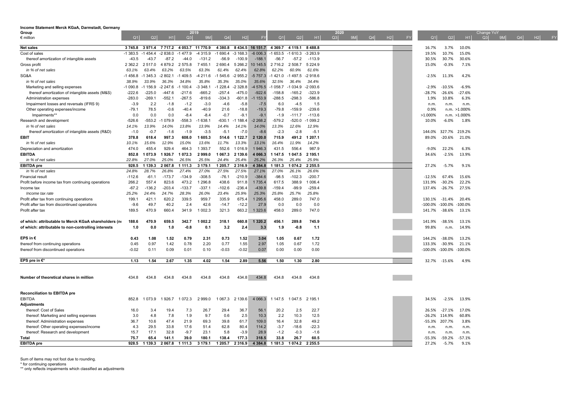| Income Statement Merck KGaA, Darmstadt, Germany       |             |            |                |             |                  |             |                 |             |             |                         |                |      |    |         |    |           |                         |                  |            |         |           |
|-------------------------------------------------------|-------------|------------|----------------|-------------|------------------|-------------|-----------------|-------------|-------------|-------------------------|----------------|------|----|---------|----|-----------|-------------------------|------------------|------------|---------|-----------|
| Group                                                 |             |            |                | Q3          | 2019             |             |                 |             |             |                         |                | 2020 |    |         |    |           |                         |                  | Change YoY |         |           |
| $\epsilon$ million                                    | Q1          | Q2         | H <sub>1</sub> |             | 9M               | Q4          | H2              | FY          | Q1          | Q2                      | H <sub>1</sub> | Q3   | 9M | $Q4$ H2 | FY | Q1        | Q <sub>2</sub>          | H1               | Q3<br>9M   | $Q4$ H2 | <b>EY</b> |
| <b>Net sales</b>                                      | 3745.8      | 3971.4     | 7 717.2        |             | 4 053.7 11 770.9 | 4 3 8 0 . 8 | 8 4 3 4 .5      | 16 151.7    | 4 3 6 9 . 7 | 4 119.1                 | 8488.8         |      |    |         |    | 16.7%     | 3.7%                    | 10.0%            |            |         |           |
| Cost of sales                                         | $-1383.5$   | $-1454.4$  | $-2838.0$      | $-1477.9$   | -4 315.9         | $-1690.4$   | $-3168.3$       | $-6006.3$   | $-1653.5$   | $-1610.3$               | $-3263.9$      |      |    |         |    | 19.5%     | 10.7%                   | 15.0%            |            |         |           |
| thereof amortization of intangible assets             | $-43.5$     | $-43.7$    | $-87.2$        | -44.0       | $-131.2$         | $-56.9$     | $-100.9$        | $-188.1$    | $-56.7$     | $-57.2$                 | $-113.9$       |      |    |         |    | 30.5%     | 30.7%                   | 30.6%            |            |         |           |
| Gross profit                                          | 2 3 6 2 . 2 | 2 5 1 7 .0 | 4 879.2        | 2 575.8     | 7 4 5 5.1        | 2 690.4     | 5 2 6 6 .2      | 10 145.5    | 2 7 1 6.2   | 2 508.7                 | 5 2 2 4 .9     |      |    |         |    | 15.0%     | $-0.3%$                 | 7.1%             |            |         |           |
| in % of net sales                                     | 63.1%       | 63.4%      | 63.2%          | 63.5%       | 63.3%            | 61.4%       | 62.4%           | 62.8%       | 62.2%       | 60.9%                   | 61.6%          |      |    |         |    |           |                         |                  |            |         |           |
| SG&A                                                  | $-1456.8$   | -1 345.3   | $-2802.1$      | $-1409.5$   | $-4211.6$        | $-1545.6$   | $-2955.2$       | $-5757.3$   | $-1421.0$   | $-1497.5$               | $-2918.6$      |      |    |         |    | $-2.5%$   | 11.3%                   | 4.2%             |            |         |           |
| in % of net sales                                     | 38.9%       | 33.9%      | 36.3%          | 34.8%       | 35.8%            | 35.3%       | 35.0%           | 35.6%       | 32.5%       | 36.4%                   | 34.4%          |      |    |         |    |           |                         |                  |            |         |           |
| Marketing and selling expenses                        | $-1090.8$   | $-1156.9$  | $-2247.6$      | $-1$ 100.4  | $-3348.1$        | $-1228.4$   | $-2328.8$       | -4 576.5    | $-1058.7$   | $-1034.9$               | $-2093.6$      |      |    |         |    | $-2.9%$   | $-10.5%$                | $-6.9%$          |            |         |           |
| thereof amortization of intangible assets (M&S)       | $-222.6$    | $-225.0$   | -447.6         | $-217.6$    | $-665.2$         | $-257.4$    | $-475.0$        | $-922.6$    | $-158.8$    | $-165.2$                | $-323.9$       |      |    |         |    | $-28.7%$  | $-26.6%$                | $-27.6%$         |            |         |           |
| Administration expenses                               | $-283.0$    | $-269.1$   | $-552.1$       | $-267.5$    | $-819.6$         | $-334.3$    | $-601.8$        | $-1$ 153.9  | $-288.5$    | $-298.3$                | $-586.8$       |      |    |         |    | 1.9%      | 10.8%                   | 6.3%             |            |         |           |
| Impairment losses and reversals (IFRS 9)              | $-3.9$      | 2.2        | $-1.8$         | $-1.2$      | $-3.0$           | $-4.6$      | $-5.8$          | $-7.5$      | 6.0         | $-4.5$                  | 1.5            |      |    |         |    | n.m.      | n.m.                    | n.m.             |            |         |           |
| Other operating expenses/income                       | $-79.1$     | 78.5       | $-0.6$         | $-40.4$     | $-40.9$          | 21.6        | $-18.8$         | $-19.3$     | $-79.8$     | $-159.9$                | $-239.6$       |      |    |         |    | 0.9%      |                         | $n.m. > 1.000\%$ |            |         |           |
| Impairments**                                         | 0.0         | 0.0        | 0.0            | $-8.4$      | $-8.4$           | $-0.7$      | $-9.1$          | $-9.1$      | $-1.9$      | $-111.7$                | $-113.6$       |      |    |         |    | >1.000%   |                         | n.m. >1.000%     |            |         |           |
| Research and development                              | $-526.6$    | $-553.2$   | -1 079.9       | $-558.3$    | $-1638.1$        | $-630.1$    | 188.4<br>-1     | $-2268.2$   | $-579.2$    | $-520.0$                | $-1099.2$      |      |    |         |    | 10.0%     | $-6.0%$                 | 1.8%             |            |         |           |
| in % of net sales                                     | 14.1%       | 13.9%      | 14.0%          | 13.8%       | 13.9%            | 14.4%       | 14.1%           | 14.0%       | 13.3%       | 12.6%                   | 12.9%          |      |    |         |    |           |                         |                  |            |         |           |
| thereof amortization of intangible assets (R&D)       | $-1.0$      | $-0.7$     | $-1.6$         | $-1.9$      | $-3.5$           | $-5.1$      | $-7.0$          | $-8.6$      | $-2.3$      | $-2.8$                  | $-5.1$         |      |    |         |    | 144.0%    | 327.7%                  | 219.2%           |            |         |           |
| <b>EBIT</b>                                           | 378.8       | 618.4      | 997.3          | 608.0       | 1 605.3          | 514.6       | 122.7           | 2 120.0     | 715.9       | 491.2                   | 1 207.1        |      |    |         |    | 89.0%     | $-20.6%$                | 21.0%            |            |         |           |
| in % of net sales                                     | 10.1%       | 15.6%      | 12.9%          | 15.0%       | 13.6%            | 11.7%       | 13.3%           | 13.1%       | 16.4%       | 11.9%                   | 14.2%          |      |    |         |    |           |                         |                  |            |         |           |
| Depreciation and amortization                         | 474.0       | 455.4      | 929.4          | 464.3       | 1 3 9 3.7        | 552.6       | 1 0 1 6 .9      | 1946.3      | 431.5       | 556.4                   | 987.9          |      |    |         |    | $-9.0%$   | 22.2%                   | 6.3%             |            |         |           |
| <b>EBITDA</b>                                         | 852.8       | 1073.9     | 1926.7         | 1 0 7 2 . 3 | 2999.0           | 1 067.3     | 2 139.6         | 4 0 66.3    | 1 147.5     | 1 047.5                 | 2 195.1        |      |    |         |    | 34.6%     | $-2.5%$                 | 13.9%            |            |         |           |
| in % of net sales                                     | 22.8%       | 27.0%      | 25.0%          | 26.5%       | 25.5%            | 24.4%       | 25.4%           | 25.2%       | 26.3%       | 25.4%                   | 25.9%          |      |    |         |    |           |                         |                  |            |         |           |
| <b>EBITDA</b> pre                                     | 928.5       | 1 139.3    | 2 0 6 7 . 8    | 1 1 1 1 .3  | 3 179.1          | 1 205.7     | 2 3 1 6 .9      | 4 3 8 4 . 8 | 1 181.3     | 1 074.2                 | 2 2 5 5.5      |      |    |         |    | 27.2%     | $-5.7%$                 | 9.1%             |            |         |           |
| in % of net sales                                     | 24.8%       | 28.7%      | 26.8%          | 27.4%       | 27.0%            | 27.5%       | 27.5%           | 27.1%       | 27.0%       | 26.1%                   | 26.6%          |      |    |         |    |           |                         |                  |            |         |           |
| <b>Financial result</b>                               | $-112.6$    | $-61.1$    | $-173.7$       | $-134.9$    | $-308.5$         | $-76.1$     | $-210.9$        | $-384.6$    | $-98.5$     | $-102.3$                | $-200.7$       |      |    |         |    | $-12.5%$  | 67.4%                   | 15.6%            |            |         |           |
| Profit before income tax from continuing operations   | 266.2       | 557.4      | 823.6          | 473.2       | 1 296.8          | 438.6       | 911.8           | 1 7 3 5 . 4 | 617.5       | 388.9                   | 1 0 0 6.4      |      |    |         |    | 131.9%    | -30.2%                  | 22.2%            |            |         |           |
| Income tax                                            | $-67.2$     | $-136.2$   | $-203.4$       | $-133.7$    | $-337.1$         | $-102.6$    | $-236.4$        | $-439.8$    | $-159.4$    | $-99.9$                 | $-259.4$       |      |    |         |    | 137.4%    | $-26.7%$                | 27.5%            |            |         |           |
| Income tax rate                                       | 25.2%       | 24.4%      | 24.7%          | 28.3%       | 26.0%            | 23.4%       | 25.9%           | 25.3%       | 25.8%       | 25.7%                   | 25.8%          |      |    |         |    |           |                         |                  |            |         |           |
| Profit after tax from continuing operations           | 199.1       | 421.1      | 620.2          | 339.5       | 959.7            | 335.9       | 675.4           | 1 295.6     | 458.0       | 289.0                   | 747.0          |      |    |         |    | 130.1%    | $-31.4%$                | 20.4%            |            |         |           |
| Profit after tax from discontinued operations         | $-9.6$      | 49.7       | 40.2           | 2.4         | 42.6             | $-14.7$     | $-12.2$         | 27.9        | 0.0         | 0.0                     | 0.0            |      |    |         |    | $-100.0%$ | $-100.0\%$              | $-100.0%$        |            |         |           |
| Profit after tax                                      | 189.5       | 470.9      | 660.4          | 341.9       | 1 002.3          | 321.3       | 663.2           | 1 3 2 3 . 6 | 458.0       | 289.0                   | 747.0          |      |    |         |    | 141.7%    | $-38.6%$                | 13.1%            |            |         |           |
|                                                       |             |            |                |             |                  |             |                 |             |             |                         |                |      |    |         |    |           |                         |                  |            |         |           |
| of which: attributable to Merck KGaA shareholders (no | 188.6       | 470.9      | 659.5          | 342.7       | 1 002.2          | 318.1       | 660.8           | 1 3 2 0 . 2 | 456.1       | 289.8                   | 745.9          |      |    |         |    | 141.9%    | $-38.5%$                | 13.1%            |            |         |           |
| of which: attributable to non-controlling interests   | 1.0         | 0.0        | 1.0            | $-0.8$      | 0.1              | 3.2         | 2.4             | 3.3         | 1.9         | $-0.8$                  | 1.1            |      |    |         |    | 99.8%     | n.m.                    | 14.9%            |            |         |           |
|                                                       |             |            |                |             |                  |             |                 |             |             |                         |                |      |    |         |    |           |                         |                  |            |         |           |
| <b>EPS</b> in €                                       | 0.43        | 1.08       | 1.52           | 0.79        | 2.31             | 0.73        | 1.52            | 3.04        | 1.05        | 0.67                    | 1.72           |      |    |         |    | 144.2%    | -38.0%                  | 13.2%            |            |         |           |
| thereof from continuing operations                    | 0.45        | 0.97       | 1.42           | 0.78        | 2.20             | 0.77        | 1.55            | 2.97        | 1.05        | 0.67                    | 1.72           |      |    |         |    | 133.3%    | $-30.9%$                | 21.1%            |            |         |           |
| thereof from discontinued operations                  | $-0.02$     | 0.11       | 0.09           | 0.01        | 0.10             | $-0.03$     | $-0.02$         | 0.07        | 0.00        | 0.00                    | 0.00           |      |    |         |    |           | -100.0% -100.0% -100.0% |                  |            |         |           |
| EPS pre in $\varepsilon^*$                            | 1.13        | 1.54       | 2.67           | 1.35        | 4.02             | 1.54        | 2.89            | 5.56        | 1.50        | 1.30                    | 2.80           |      |    |         |    | 32.7%     |                         | 4.9%             |            |         |           |
|                                                       |             |            |                |             |                  |             |                 |             |             |                         |                |      |    |         |    |           | $-15.6%$                |                  |            |         |           |
|                                                       |             |            |                |             |                  |             |                 |             |             |                         |                |      |    |         |    |           |                         |                  |            |         |           |
| Number of theoretical shares in million               | 434.8       | 434.8      | 434.8          | 434.8       | 434.8            | 434.8       | 434.8           | 434.8       | 434.8       | 434.8                   | 434.8          |      |    |         |    |           |                         |                  |            |         |           |
|                                                       |             |            |                |             |                  |             |                 |             |             |                         |                |      |    |         |    |           |                         |                  |            |         |           |
|                                                       |             |            |                |             |                  |             |                 |             |             |                         |                |      |    |         |    |           |                         |                  |            |         |           |
| <b>Reconciliation to EBITDA pre</b>                   |             |            |                |             |                  |             |                 |             |             |                         |                |      |    |         |    |           |                         |                  |            |         |           |
| EBITDA                                                | 852.8       | 1073.9     | 1926.7         | 1 0 7 2 . 3 | 2 999.0          |             | 1 067.3 2 139.6 | 4 0 66.3    |             | 1 147.5 1 047.5 2 195.1 |                |      |    |         |    | 34.5%     | $-2.5%$                 | 13.9%            |            |         |           |
| <b>Adjustments</b>                                    |             |            |                |             |                  |             |                 |             |             |                         |                |      |    |         |    |           |                         |                  |            |         |           |
| thereof: Cost of Sales                                | 16.0        | 3.4        | 19.4           | 7.3         | 26.7             | 29.4        | 36.7            | 56.1        | 20.2        | 2.5                     | 22.7           |      |    |         |    | 26.5%     | $-27.1%$                | 17.0%            |            |         |           |
| thereof: Marketing and selling expenses               | 3.0         | 4.8        | 7.8            | 1.9         | 9.7              | 0.6         | 2.5             | 10.3        | 2.2         | 10.3                    | 12.5           |      |    |         |    | $-26.2%$  | 114.9%                  | 60.8%            |            |         |           |
| thereof: Administration expenses                      | 36.7        | 10.6       | 47.4           | 21.9        | 69.3             | 39.8        | 61.7            | 109.0       | 16.4        | 32.8                    | 49.2           |      |    |         |    | $-55.3%$  | 207.7%                  | 3.8%             |            |         |           |
| thereof: Other operating expenses/income              | 4.3         | 29.5       | 33.8           | 17.6        | 51.4             | 62.8        | 80.4            | 114.2       | $-3.7$      | $-18.6$                 | $-22.3$        |      |    |         |    | n.m.      | n.m.                    | n.m.             |            |         |           |
| thereof: Research and development                     | 15.7        | 17.1       | 32.8           | $-9.7$      | 23.1             | 5.8         | $-3.9$          | 28.9        | $-1.2$      | $-0.3$                  | $-1.6$         |      |    |         |    | n.m       | n.m                     | n.m.             |            |         |           |
| Total                                                 | 75.7        | 65.4       | 141.1          | 39.0        | 180.1            | 138.4       | 177.3           | 318.5       | 33.8        | 26.7                    | 60.5           |      |    |         |    | $-55.3%$  | $-59.2%$                | $-57.1%$         |            |         |           |
| <b>EBITDA</b> pre                                     | 928.5       | 1 139.3    | 2 0 6 7 . 8    | 1 111.3     | 3 179.1          | 1 205.7     | 2 3 1 6 .9      | 4 3 8 4 . 8 | 1 181.3     | 1 074.2                 | 2 2 5 5 . 5    |      |    |         |    | 27.2%     | $-5.7%$                 | 9.1%             |            |         |           |

Sum of items may not foot due to rounding.<br>\* for continuing operations<br>\*\* only reflects impairments which classified as adjustments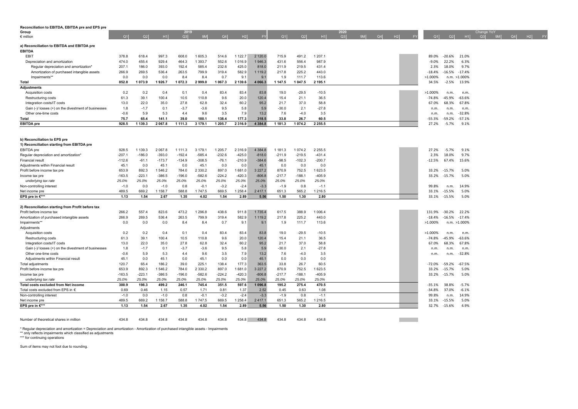| Reconciliation to EBITDA, EBITDA pre and EPS pre     |          |             |           |             |           |          |            |             |          |          |           |      |          |                |            |                      |                    |    |            |
|------------------------------------------------------|----------|-------------|-----------|-------------|-----------|----------|------------|-------------|----------|----------|-----------|------|----------|----------------|------------|----------------------|--------------------|----|------------|
| Group                                                |          |             |           | 2019        |           |          |            |             |          |          |           | 2020 |          |                |            |                      | Change YoY<br>Q3 9 |    |            |
| $\epsilon$ million                                   | Q1       | Q2          |           | Q3          | 9M        | Q4       | H2         |             | Q1       | Q2       | H1        | Q3   | 9M Q4 H2 | <b>EXECUTE</b> | Q1         | H1<br>Q <sub>2</sub> |                    | 9M | Q4  H2  FY |
| a) Reconciliation to EBITDA and EBITDA pre           |          |             |           |             |           |          |            |             |          |          |           |      |          |                |            |                      |                    |    |            |
| <b>EBITDA</b>                                        |          |             |           |             |           |          |            |             |          |          |           |      |          |                |            |                      |                    |    |            |
| EBIT                                                 | 378.8    | 618.4       | 997.3     | 608.0       | 1 605.3   | 514.6    | 1 1 2 2.7  | 2 1 2 0.0   | 715.9    | 491.2    | 1 207.1   |      |          |                | 89.0%      | $-20.6%$<br>21.0%    |                    |    |            |
| Depreciation and amortization                        | 474.0    | 455.4       | 929.4     | 464.3       | 1 393.7   | 552.6    | 1016.9     | 1946.3      | 431.6    | 556.4    | 987.9     |      |          |                | $-9.0%$    | 6.3%<br>22.2%        |                    |    |            |
| Regular depreciation and amortization                | 207.1    | 186.0       | 393.0     | 192.4       | 585.4     | 232.6    | 425.0      | 818.0       | 211.9    | 219.5    | 431.4     |      |          |                | 2.3%       | 9.7%<br>18.0%        |                    |    |            |
| Amortization of purchased intangible assets          | 266.9    | 269.5       | 536.4     | 263.5       | 799.9     | 319.4    | 582.9      | 1 1 1 9 . 2 | 217.8    | 225.2    | 443.0     |      |          |                | $-18.4%$   | $-16.5%$<br>$-17.4%$ |                    |    |            |
| Impairments*1                                        | 0.0      | 0.0         | 0.0       | 8.4         | 8.4       | 0.7      | 9.1        | 9.1         | 1.9      | 111.7    | 113.6     |      |          |                | >1.000%    | n.m. >1.000%         |                    |    |            |
| Total                                                | 852.8    | 1073.9      | 1 926.7   | 1072.3      | 2999.0    | 1 067.3  | 2 139.6    | 4 0 66.3    | 1 147.5  | 1 047.5  | 2 195.1   |      |          |                | 34.5%      | $-2.5%$<br>13.9%     |                    |    |            |
| <b>Adjustments</b>                                   |          |             |           |             |           |          |            |             |          |          |           |      |          |                |            |                      |                    |    |            |
| <b>Acquisition costs</b>                             | 0.2      | 0.2         | 0.4       | 0.1         | 0.4       | 83.4     | 83.4       | 83.8        | 19.0     | $-29.5$  | $-10.5$   |      |          |                | $>1.000\%$ | n.m.<br>n.m.         |                    |    |            |
|                                                      | 61.3     | 39.1        | 100.4     | 10.5        | 110.8     | 9.6      | 20.0       | 120.4       | 15.4     | 21.1     | 36.5      |      |          |                | $-74.8%$   | $-63.6%$<br>$-45.9%$ |                    |    |            |
| Restructuring costs                                  |          | 22.0        |           | 27.8        | 62.8      |          |            |             | 21.7     | 37.0     | 58.8      |      |          |                |            |                      |                    |    |            |
| Integration costs/IT costs                           | 13.0     |             | 35.0      |             |           | 32.4     | 60.2       | 95.2        |          |          |           |      |          |                | 67.0%      | 67.8%<br>68.3%       |                    |    |            |
| Gain (-)/ losses (+) on the divestment of businesses | 1.8      | $-1.7$      | 0.1       | $-3.7$      | $-3.6$    | 9.5      | 5.8        | 5.9         | $-30.0$  | 2.1      | $-27.8$   |      |          |                | n.m.       | n.m.<br>n.m.         |                    |    |            |
| Other one-time costs                                 | $-0.6$   | 5.9         | 5.3       | 4.4         | 9.6       | 3.5      | 7.9        | 13.2        | 7.6      | $-4.0$   | 3.5       |      |          |                | n.m.       | $-32.8%$<br>n.m.     |                    |    |            |
| Total                                                | 75.7     | 65.4        | 141.1     | 39.0        | 180.1     | 138.4    | 177.3      | 318.5       | 33.8     | 26.7     | 60.5      |      |          |                | $-55.3%$   | $-59.2%$<br>$-57.1%$ |                    |    |            |
| <b>EBITDA</b> pre                                    | 928.5    | 1 139.3     | 2 067.8   | 1 1 1 1 .3  | 3 179.1   | 1 205.7  | 2 3 1 6 .9 | 4 3 8 4 . 8 | 1 181.3  | 1 074.2  | 2 2 5 5.5 |      |          |                | 27.2%      | $-5.7%$<br>9.1%      |                    |    |            |
|                                                      |          |             |           |             |           |          |            |             |          |          |           |      |          |                |            |                      |                    |    |            |
|                                                      |          |             |           |             |           |          |            |             |          |          |           |      |          |                |            |                      |                    |    |            |
| b) Reconciliation to EPS pre                         |          |             |           |             |           |          |            |             |          |          |           |      |          |                |            |                      |                    |    |            |
| 1) Reconciliation starting from EBITDA pre           |          |             |           |             |           |          |            |             |          |          |           |      |          |                |            |                      |                    |    |            |
| <b>EBITDA</b> pre                                    | 928.5    | 1 1 3 9 . 3 | 2 0 6 7.8 | 1 1 1 1 . 3 | 3 179.1   | 1 205.7  | 2 3 1 6.9  | 4 3 8 4 . 8 | 1 181.3  | 1074.2   | 2 2 5 5.5 |      |          |                | 27.2%      | 9.1%<br>$-5.7%$      |                    |    |            |
| Regular depreciation and amortization*               | $-207.1$ | $-186.0$    | $-393.0$  | $-192.4$    | $-585.4$  | $-232.6$ | $-425.0$   | $-818.0$    | $-211.9$ | $-219.5$ | $-431.4$  |      |          |                | 2.3%       | 9.7%<br>18.0%        |                    |    |            |
| <b>Financial result</b>                              | $-112.6$ | $-61.1$     | $-173.7$  | $-134.9$    | $-308.5$  | $-76.1$  | $-210.9$   | $-384.6$    | $-98.5$  | $-102.3$ | $-200.7$  |      |          |                | $-12.5%$   | 15.6%<br>67.4%       |                    |    |            |
| Adjustments within Financial result                  | 45.1     | 0.0         | 45.1      | 0.0         | 45.1      | 0.0      | 0.0        | 45.1        | 0.0      | 0.0      | 0.0       |      |          |                |            |                      |                    |    |            |
| Profit before income tax pre                         | 653.9    | 892.3       | 1 546.2   | 784.0       | 2 3 3 0.2 | 897.0    | 1681.0     | 3 2 2 7 . 2 | 870.9    | 752.5    | 1 623.5   |      |          |                | 33.2%      | 5.0%<br>$-15.7%$     |                    |    |            |
| Income tax pre                                       | $-163.5$ | $-223.1$    | $-386.5$  | $-196.0$    | $-582.6$  | $-224.2$ | $-420.3$   | $-806.8$    | $-217.7$ | $-188.1$ | $-405.9$  |      |          |                | 33.2%      | 5.0%<br>$-15.7%$     |                    |    |            |
| underlying tax rate                                  | 25.0%    | 25.0%       | 25.0%     | 25.0%       | 25.0%     | 25.0%    | 25.0%      | 25.0%       | 25.0%    | 25.0%    | 25.0%     |      |          |                |            |                      |                    |    |            |
| Non-controlling interest                             | $-1.0$   | 0.0         | $-1.0$    | 0.8         | $-0.1$    | $-3.2$   | $-2.4$     | $-3.3$      | $-1.9$   | 0.8      | $-1.1$    |      |          |                | 99.8%      | 14.9%<br>n.m         |                    |    |            |
| Net income pre                                       | 489.5    | 669.2       | 1 1 58.7  | 588.8       | 1747.5    | 669.5    | 1 258.4    | 2417.1      | 651.3    | 565.2    | 1 216.5   |      |          |                | 33.1%      | 5.0%<br>$-15.5%$     |                    |    |            |
| EPS pre in €***                                      | 1.13     | 1.54        | 2.67      | 1.35        | 4.02      | 1.54     | 2.89       | 5.56        | 1.50     | 1.30     | 2.80      |      |          |                | 33.1%      | $-15.5%$<br>5.0%     |                    |    |            |
|                                                      |          |             |           |             |           |          |            |             |          |          |           |      |          |                |            |                      |                    |    |            |
| 2) Reconciliation starting from Profit before tax    |          |             |           |             |           |          |            |             |          |          |           |      |          |                |            |                      |                    |    |            |
| Profit before income tax                             | 266.2    | 557.4       | 823.6     | 473.2       | 1 296.8   | 438.6    | 911.8      | 1 7 3 5.4   | 617.5    | 388.9    | 1 006.4   |      |          |                | 131.9%     | 22.2%<br>$-30.2%$    |                    |    |            |
| Amortization of purchased intangible assets          | 266.9    | 269.5       | 536.4     | 263.5       | 799.9     | 319.4    | 582.9      | 1 1 1 9 . 2 | 217.8    | 225.2    | 443.0     |      |          |                | $-18.4%$   | $-16.5%$<br>$-17.4%$ |                    |    |            |
| Impairments*                                         | 0.0      | 0.0         | 0.0       | 8.4         | 8.4       | 0.7      | 9.1        | 9.1         | 1.9      | 111.7    | 113.6     |      |          |                | >1.000%    | n.m. >1.000%         |                    |    |            |
| Adjustments                                          |          |             |           |             |           |          |            |             |          |          |           |      |          |                |            |                      |                    |    |            |
| Acquisition costs                                    | 0.2      | 0.2         | 0.4       | 0.1         | 0.4       | 83.4     | 83.4       | 83.8        | 19.0     | $-29.5$  | $-10.5$   |      |          |                | >1.000%    | n.m.<br>n.m.         |                    |    |            |
| Restructuring costs                                  | 61.3     | 39.1        | 100.4     | 10.5        | 110.8     | 9.6      | 20.0       | 120.4       | 15.4     | 21.1     | 36.5      |      |          |                | $-74.8%$   | $-63.6%$<br>-45.9%   |                    |    |            |
| Integration costs/IT costs                           | 13.0     | 22.0        | 35.0      | 27.8        | 62.8      | 32.4     | 60.2       | 95.2        | 21.7     | 37.0     | 58.8      |      |          |                | 67.0%      | 68.3%<br>67.8%       |                    |    |            |
| Gain (-)/ losses (+) on the divestment of businesses | 1.8      | $-1.7$      | 0.1       | $-3.7$      | $-3.6$    | 9.5      | 5.8        | 5.9         | $-30.0$  | 2.1      | $-27.8$   |      |          |                | n.m.       | n.m.<br>n.m.         |                    |    |            |
| Other one-time costs                                 | $-0.6$   | 5.9         | 5.3       | 4.4         | 9.6       | 3.5      | 7.9        | 13.2        | 7.6      | $-4.0$   | 3.5       |      |          |                | n.m.       | $-32.8%$<br>n.m.     |                    |    |            |
| Adjustments within Financial result                  | 45.1     | 0.0         | 45.1      | 0.0         | 45.1      | 0.0      | 0.0        | 45.1        | 0.0      | 0.0      | 0.0       |      |          |                |            |                      |                    |    |            |
| Total adjustments                                    | 120.7    | 65.4        | 186.2     | 39.0        | 225.1     | 138.4    | 177.3      | 363.5       | 33.8     | 26.7     | 60.5      |      |          |                | -72.0%     | $-67.5%$<br>$-59.2%$ |                    |    |            |
| Profit before income tax pre                         | 653.9    | 892.3       | 1 546.2   | 784.0       | 2 3 3 0.2 | 897.0    | 1681.0     | 3 2 2 7 . 2 | 870.9    | 752.5    | 1 623.5   |      |          |                | 33.2%      | 5.0%<br>$-15.7%$     |                    |    |            |
| Income tax pre                                       | $-163.5$ | $-223.1$    | $-386.5$  | $-196.0$    | $-582.6$  | $-224.2$ | $-420.3$   | $-806.8$    | $-217.7$ | $-188.1$ | $-405.9$  |      |          |                | 33.2%      | 5.0%<br>$-15.7%$     |                    |    |            |
| underlying tax rate                                  | 25.0%    | 25.0%       | 25.0%     | 25.0%       | 25.0%     | 25.0%    | 25.0%      | 25.0%       | 25.0%    | 25.0%    | 25.0%     |      |          |                |            |                      |                    |    |            |
| <b>Total costs excluded from Net income</b>          | 300.9    | 198.3       | 499.2     | 246.1       | 745.4     | 351.5    | 597.6      | 1 096.8     | 195.2    | 275.4    | 470.5     |      |          |                | $-35.1%$   | 38.8%<br>$-5.7%$     |                    |    |            |
| Total costs excluded from EPS in €                   | 0.69     | 0.46        | 1.15      | 0.57        | 1.71      | 0.81     | 1.37       | 2.52        | 0.45     | 0.63     | 1.08      |      |          |                | $-34.8%$   | 37.0%<br>$-6.1%$     |                    |    |            |
|                                                      |          |             |           |             |           |          |            |             |          |          |           |      |          |                |            |                      |                    |    |            |
| Non-controlling interest                             | $-1.0$   | 0.0         | $-1.0$    | 0.8         | $-0.1$    | $-3.2$   | $-2.4$     | $-3.3$      | $-1.9$   | 0.8      | $-1.1$    |      |          |                | 99.8%      | 14.9%<br>n.m.        |                    |    |            |
| Net income pre                                       | 489.5    | 669.2       | 158.7     | 588.8       | 1 747.5   | 669.5    | 1 258.4    | 2417.1      | 651.3    | 565.2    | 1 216.5   |      |          |                | 33.1%      | $-15.5%$<br>5.0%     |                    |    |            |
| EPS pre in €***                                      | 1.13     | 1.54        | 2.67      | 1.35        | 4.02      | 1.54     | 2.89       | 5.56        | 1.50     | 1.30     | 2.80      |      |          |                | 32.7%      | 4.9%<br>$-15.6%$     |                    |    |            |

Number of theoretical shares in million 434.8 434.8 434.8 434.8 434.8 434.8 434.8 434.8 434.8 434.8 434.8

**Contract** 

\* Regular depreciation and amortization = Depreciation and amortization - Amortization of purchased intangible assets - Impairments<br>\*\* only reflects impairments which classified as adjustments<br>\*\*\* for continuing operations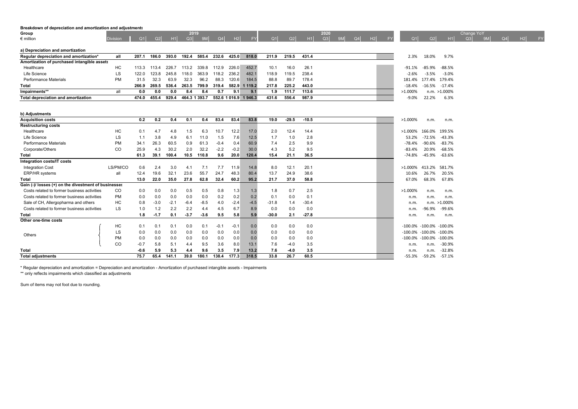#### **Breakdown of depreciation and amortization and adjustments**

| Group                                       |                 |       |                |            |                | 2019          |       |       |                       |       |       |       | 2020           |                |                |    |           |           |                      |               | Change YoY |           |    |    |    |
|---------------------------------------------|-----------------|-------|----------------|------------|----------------|---------------|-------|-------|-----------------------|-------|-------|-------|----------------|----------------|----------------|----|-----------|-----------|----------------------|---------------|------------|-----------|----|----|----|
| $\epsilon$ million                          | <b>Division</b> |       | O <sub>1</sub> | Q2<br>H1   | Q <sub>3</sub> | <b>9M</b>     | Q4    | H2    | <b>FY</b>             | Q1    | Q2    | H1    | O <sub>3</sub> | 9 <sub>M</sub> | Q <sub>4</sub> | H2 | <b>EV</b> | Q1        | Q2                   | H1            | Q3         | <b>9M</b> | Q4 | H2 | FY |
| a) Depreciation and amortization            |                 |       |                |            |                |               |       |       |                       |       |       |       |                |                |                |    |           |           |                      |               |            |           |    |    |    |
| Regular depreciation and amortization*      | all             | 207.1 | 186.0          | 393.0      | 192.4          | 585.4         | 232.6 | 425.0 | 818.0                 | 211.9 | 219.5 | 431.4 |                |                |                |    |           | 2.3%      | 18.0%                | 9.7%          |            |           |    |    |    |
| Amortization of purchased intangible assets |                 |       |                |            |                |               |       |       |                       |       |       |       |                |                |                |    |           |           |                      |               |            |           |    |    |    |
| Healthcare                                  | HC              | 113.3 | 113.4          | -226.7     | 113.2          | 339.8         | 112.9 | 226.0 | 452.7                 | 10.1  | 16.0  | 26.1  |                |                |                |    |           | $-91.1\%$ | -85.9%               | -88.5%        |            |           |    |    |    |
| Life Science                                | LS              | 122.0 | 123.8          | 245.8      | 118.0          | 363.9         | 118.2 | 236.2 | 482.1                 | 118.9 | 119.5 | 238.4 |                |                |                |    |           | $-2.6%$   | $-3.5%$              | $-3.0\%$      |            |           |    |    |    |
| Performance Materials                       | PM              | 31.5  | 32.3           | 63.9       | 32.3           | 96.2          | 88.3  | 120.6 | 184.5                 | 88.8  | 89.7  | 178.4 |                |                |                |    |           |           | 181.4% 177.4% 179.4% |               |            |           |    |    |    |
| Total                                       |                 | 266.9 | 269.5          | 536.4      | 263.5          | 799.9         | 319.4 |       | 582.9 1 119.2         | 217.8 | 225.2 | 443.0 |                |                |                |    |           | $-18.4%$  |                      | -16.5% -17.4% |            |           |    |    |    |
| Impairments**                               |                 | 0.0   |                | 0.0<br>0.0 | 8.4            | 8.4           | 0.7   | 9.1   |                       | 1.9   | 111.7 | 113.6 |                |                |                |    |           | >1.000%   |                      | n.m. >1.000%  |            |           |    |    |    |
| Total depreciation and amortization         |                 | 474.0 | 455.4          | 929.4      |                | 464.3 1 393.7 |       |       | 552.6 1 016.9 1 946.3 | 431.6 | 556.4 | 987.9 |                |                |                |    |           | -9.0%     | 22.2%                | 6.3%          |            |           |    |    |    |

| b) Adjustments                                       |           |        |        |        |        |        |        |        |        |         |         |         |  |            |            |                  |
|------------------------------------------------------|-----------|--------|--------|--------|--------|--------|--------|--------|--------|---------|---------|---------|--|------------|------------|------------------|
| <b>Acquisition costs</b>                             |           | 0.2    | 0.2    | 0.4    | 0.1    | 0.4    | 83.4   | 83.4   | 83.8   | 19.0    | $-29.5$ | $-10.5$ |  | >1.000%    | n.m.       | n.m.             |
| <b>Restructuring costs</b>                           |           |        |        |        |        |        |        |        |        |         |         |         |  |            |            |                  |
| Healthcare                                           | <b>HC</b> | 0.1    | 4.7    | 4.8    | 1.5    | 6.3    | 10.7   | 12.2   | 17.0   | 2.0     | 12.4    | 14.4    |  | >1.000%    | 166.0%     | 199.5%           |
| Life Science                                         | LS        | 1.1    | 3.8    | 4.9    | 6.1    | 11.0   | 1.5    | 7.6    | 12.5   | 1.7     | 1.0     | 2.8     |  | 53.2%      | $-72.5%$   | $-43.3%$         |
| Performance Materials                                | <b>PM</b> | 34.1   | 26.3   | 60.5   | 0.9    | 61.3   | $-0.4$ | 0.4    | 60.9   | 7.4     | 2.5     | 9.9     |  | $-78.4%$   | $-90.6%$   | $-83.7%$         |
| Corporate/Others                                     | CO        | 25.9   | 4.3    | 30.2   | 2.0    | 32.2   | $-2.2$ | $-0.2$ | 30.0   | 4.3     | 5.2     | 9.5     |  | $-83.4%$   | 20.9%      | $-68.5%$         |
| Total                                                |           | 61.3   | 39.1   | 100.4  | 10.5   | 110.8  | 9.6    | 20.0   | 120.4  | 15.4    | 21.1    | 36.5    |  | $-74.8%$   | $-45.9%$   | $-63.6%$         |
| Integration costs/IT costs                           |           |        |        |        |        |        |        |        |        |         |         |         |  |            |            |                  |
| <b>Integration Cost</b>                              | LS/PM/CO  | 0.6    | 2.4    | 3.0    | 4.1    | 7.1    | 7.7    | 11.9   | 14.8   | 8.0     | 12.1    | 20.1    |  | >1.000%    | 413.2%     | 581.7%           |
| ERP/HR systems                                       | all       | 12.4   | 19.6   | 32.1   | 23.6   | 55.7   | 24.7   | 48.3   | 80.4   | 13.7    | 24.9    | 38.6    |  | 10.6%      | 26.7%      | 20.5%            |
| Total                                                |           | 13.0   | 22.0   | 35.0   | 27.8   | 62.8   | 32.4   | 60.2   | 95.2   | 21.7    | 37.0    | 58.8    |  | 67.0%      | 68.3%      | 67.8%            |
| Gain (-)/ losses (+) on the divestment of businesses |           |        |        |        |        |        |        |        |        |         |         |         |  |            |            |                  |
| Costs related to former business activities          | CO.       | 0.0    | 0.0    | 0.0    | 0.5    | 0.5    | 0.8    | 1.3    | 1.3    | 1.8     | 0.7     | 2.5     |  | >1.000%    | n.m.       | n.m.             |
| Costs related to former business activities          | <b>PM</b> | 0.0    | 0.0    | 0.0    | 0.0    | 0.0    | 0.2    | 0.2    | 0.2    | 0.1     | 0.0     | 0.1     |  | n.m.       | n.m.       | n.m.             |
| Sale of CH, Allergopharma and others                 | HC        | 0.8    | $-3.0$ | $-2.1$ | $-6.4$ | $-8.5$ | 4.0    | $-2.4$ | $-4.5$ | $-31.8$ | 1.4     | $-30.4$ |  | n.m.       |            | $n.m. > 1.000\%$ |
| Costs related to former business activities          | LS        | 1.0    | 1.2    | 2.2    | 2.2    | 4.4    | 4.5    | 6.7    | 8.9    | 0.0     | 0.0     | 0.0     |  | n.m.       | $-96.9%$   | $-99.6%$         |
| Total                                                |           | 1.8    | $-1.7$ | 0.1    | $-3.7$ | $-3.6$ | 9.5    | 5.8    | 5.9    | $-30.0$ | 2.1     | $-27.8$ |  | n.m.       | n.m.       | n.m.             |
| Other one-time costs                                 |           |        |        |        |        |        |        |        |        |         |         |         |  |            |            |                  |
|                                                      | HC        | 0.1    | 0.1    | 0.1    | 0.0    | 0.1    | $-0.1$ | $-0.1$ | 0.0    | 0.0     | 0.0     | 0.0     |  | $-100.0\%$ | $-100.0%$  | $-100.0%$        |
| Others                                               | LS        | 0.0    | 0.0    | 0.0    | 0.0    | 0.0    | 0.0    | 0.0    | 0.0    | 0.0     | 0.0     | 0.0     |  | $-100.0\%$ | $-100.0\%$ | $-100.0%$        |
|                                                      | <b>PM</b> | 0.0    | 0.0    | 0.0    | 0.0    | 0.0    | 0.0    | 0.0    | 0.0    | 0.0     | 0.0     | 0.0     |  | $-100.0\%$ | $-100.0%$  | $-100.0%$        |
|                                                      | CO        | $-0.7$ | 5.8    | 5.1    | 4.4    | 9.5    | 3.6    | 8.0    | 13.1   | 7.6     | $-4.0$  | 3.5     |  | n.m.       | n.m.       | $-30.9%$         |
| Total                                                |           | $-0.6$ | 5.9    | 5.3    | 4.4    | 9.6    | 3.5    | 7.9    | 13.2   | 7.6     | $-4.0$  | 3.5     |  | n.m.       | n.m.       | $-32.8%$         |
| <b>Total adjustments</b>                             |           | 75.7   | 65.4   | 141.1  | 39.0   | 180.1  | 138.4  | 177.3  | 318.5  | 33.8    | 26.7    | 60.5    |  | $-55.3%$   | $-59.2%$   | $-57.1%$         |

\* Regular depreciation and amortization = Depreciation and amortization - Amortization of purchased intangible assets - Impairments

\*\* only reflects impairments which classified as adjustments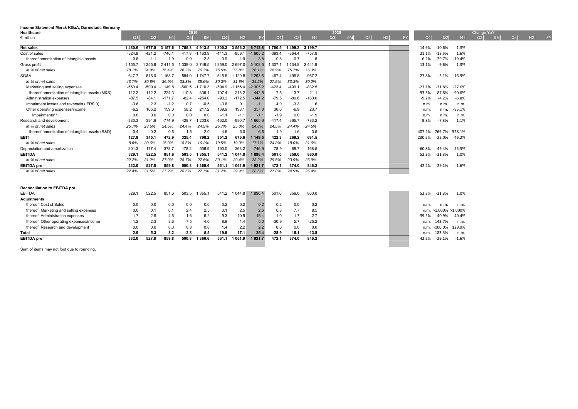| Q2<br>$\epsilon$ million<br>Q1<br>1 677.0<br>Net sales<br>1480.6<br>$-421.2$<br>Cost of sales<br>$-324.9$ | Q3<br>H1<br>Q4<br>9 <sub>M</sub><br>1800.3<br>3 157.6<br>1755.8<br>4913.5<br>$-746.1$<br>$-1163.9$<br>$-441.3$<br>-417.8<br>$-2.8$<br>$-0.9$<br>$-0.9$<br>$-1.9$ | H2<br>FY<br>3 5 5 6 . 2<br>6713.8<br>$-859.1$<br>$-1605.2$ | Q <sub>1</sub><br>1 700.5<br>$-393.4$ | Q2<br>H1<br>1499.2 3199.7 | Q3<br>Q4<br>H2<br><b>9M</b><br>FY | Q <sub>2</sub><br>Q1<br>H1<br>14.9%<br>$-10.6%$<br>1.3% | H2<br>Q4<br>Q3<br>9M<br><b>FY</b> |
|-----------------------------------------------------------------------------------------------------------|------------------------------------------------------------------------------------------------------------------------------------------------------------------|------------------------------------------------------------|---------------------------------------|---------------------------|-----------------------------------|---------------------------------------------------------|-----------------------------------|
|                                                                                                           |                                                                                                                                                                  |                                                            |                                       |                           |                                   |                                                         |                                   |
|                                                                                                           |                                                                                                                                                                  |                                                            |                                       |                           |                                   |                                                         |                                   |
|                                                                                                           |                                                                                                                                                                  |                                                            |                                       | $-364.4$<br>$-757.9$      |                                   | 1.6%<br>$-13.5%$<br>21.1%                               |                                   |
| thereof amortization of intangible assets<br>$-0.8$<br>$-1.1$                                             |                                                                                                                                                                  | $-3.8$<br>$-1.9$                                           | $-0.8$                                | $-0.7$<br>$-1.5$          |                                   | $-29.7%$<br>$-19.4%$<br>$-6.2%$                         |                                   |
| Gross profit<br>1 155.7<br>255.8                                                                          | 2411.5<br>338.0<br>3749.5<br>359.0                                                                                                                               | 5 108.5<br>2697.0                                          | 1 307.1                               | 1 1 3 4 . 8<br>2441.9     |                                   | $-9.6%$<br>1.3%<br>13.1%                                |                                   |
| in % of net sales<br>78.1%<br>74.9%                                                                       | 76.4%<br>76.2%<br>76.3%<br>75.5%                                                                                                                                 | 75.8%<br>76.1%                                             | 76.9%                                 | 75.7%<br>76.3%            |                                   |                                                         |                                   |
| SG&A<br>$-647.7$<br>$-516.0$                                                                              | $-584.0$<br>$-545.8$<br>$-1163.7$<br>$-1747.7$                                                                                                                   | $-1129.8$<br>$-2293.5$                                     | $-467.4$                              | $-499.8$<br>$-967.2$      |                                   | $-27.8%$<br>$-16.9%$<br>$-3.1%$                         |                                   |
| in % of net sales<br>30.8%<br>43.7%                                                                       | 36.9%<br>33.3%<br>30.3%<br>35.6%                                                                                                                                 | 31.8%<br>34.2%                                             | 27.5%                                 | 33.3%<br>30.2%            |                                   |                                                         |                                   |
| $-599.4$<br>Marketing and selling expenses<br>$-550.4$                                                    | $-560.5$<br>$-594.9$<br>$-1$ 149.8<br>$-1710.3$                                                                                                                  | $-1155.4$<br>$-2305.2$                                     | $-423.4$                              | $-409.1$<br>$-832.5$      |                                   | $-31.8%$<br>$-27.6%$<br>$-23.1%$                        |                                   |
| thereof amortization of intangible assets (M&S)<br>$-112.2$<br>$-112.2$                                   | $-224.3$<br>$-110.8$<br>$-335.1$<br>$-107.4$                                                                                                                     | $-218.2$<br>$-442.5$                                       | $-7.5$                                | $-21.1$<br>$-13.7$        |                                   | $-87.8%$<br>$-90.6%$<br>$-93.3%$                        |                                   |
| Administration expenses<br>$-87.5$<br>$-84.1$                                                             | $-82.4$<br>$-254.0$<br>$-90.2$<br>$-171.7$                                                                                                                       | $-172.5$<br>$-344.2$                                       | $-79.5$                               | $-80.6$<br>$-160.0$       |                                   | $-4.2%$<br>$-6.8%$<br>$-9.2%$                           |                                   |
| Impairment losses and reversals (IFRS 9)<br>2.3<br>$-3.6$                                                 | $-1.2$<br>$-0.5$<br>$-0.6$<br>0.7                                                                                                                                | 0.1<br>$-1.$                                               | 4.9                                   | $-3.3$<br>1.6             |                                   | n.m.<br>n.m.<br>n.m.                                    |                                   |
| Other operating expenses/income<br>$-6.2$<br>165.2                                                        | 159.0<br>139.9<br>58.2<br>217.2                                                                                                                                  | 198.1<br>357.0                                             | 30.6                                  | 23.7<br>$-6.9$            |                                   | $-85.1%$<br>n.m.<br>n.m.                                |                                   |
| Impairments**<br>0.0<br>0.0                                                                               | 0.0<br>0.0<br>0.0<br>$-1.1$                                                                                                                                      | $-1.1$<br>$-1.1$                                           | $-1.9$                                | $-1.9$<br>0.0             |                                   | n.m.<br>n.m.<br>n.m.                                    |                                   |
| Research and development<br>$-380.3$<br>$-394.6$                                                          | $-462.0$<br>$-774.9$<br>$-428.7$<br>$-1203.6$                                                                                                                    | $-890.7$<br>$-1665.6$                                      | $-417.4$                              | $-783.2$<br>$-365.7$      |                                   | $-7.3%$<br>1.1%<br>9.8%                                 |                                   |
| in % of net sales<br>23.5%<br>25.7%                                                                       | 24.5%<br>24.5%<br>25.7%<br>24.4%                                                                                                                                 | 24.8%<br>25.0%                                             | 24.5%                                 | 24.5%<br>24.4%            |                                   |                                                         |                                   |
| thereof amortization of intangible assets (R&D)<br>$-0.2$<br>$-0.4$                                       | $-0.6$<br>$-1.5$<br>$-2.0$<br>$-4.6$                                                                                                                             | $-6.0$<br>$-6.6$                                           | $-1.9$                                | $-3.5$<br>$-1.6$          |                                   | 769.7% 528.1%<br>407.2%                                 |                                   |
| <b>EBIT</b><br>345.1<br>127.8                                                                             | 472.9<br>351.2<br>325.4<br>798.2                                                                                                                                 | 676.6<br>1 149.5                                           | 422.3                                 | 269.2<br>691.5            |                                   | $-22.0%$<br>46.2%<br>230.5%                             |                                   |
| in % of net sales<br>20.6%<br>8.6%                                                                        | 18.5%<br>19.5%<br>15.0%<br>16.2%                                                                                                                                 | 19.0%<br>17.1%                                             | 24.8%                                 | 21.6%<br>18.0%            |                                   |                                                         |                                   |
| 201.3<br>177.4<br>Depreciation and amortization                                                           | 178.2<br>556.9<br>190.0<br>378.7                                                                                                                                 | 368.2<br>746.9                                             | 78.9                                  | 89.7<br>168.5             |                                   | $-55.5%$<br>$-60.8%$<br>-49.4%                          |                                   |
| <b>EBITDA</b><br>522.5<br>329.1                                                                           | 851.6<br>503.5<br>1 3 5 5.1<br>541.2                                                                                                                             | 1896.4<br>1 0 4 4 .8                                       | 501.0                                 | 860.0<br>359.0            |                                   | $-31.3%$<br>1.0%<br>52.3%                               |                                   |
| in % of net sales<br>31.2%<br>22.2%                                                                       | 28.7%<br>27.6%<br>27.0%<br>30.1%                                                                                                                                 | 29.4%<br>28.2%                                             | 29.5%                                 | 23.9%<br>26.9%            |                                   |                                                         |                                   |
| <b>EBITDA</b> pre<br>332.0<br>527.8                                                                       | 859.8<br>500.8<br>1 3 6 0.6<br>561.1                                                                                                                             | 1 0 6 1 .9<br>1921.7                                       | 472.1                                 | 374.0<br>846.2            |                                   | $-29.1%$<br>$-1.6%$<br>42.2%                            |                                   |
| 31.5%<br>in % of net sales<br>22.4%                                                                       | 28.5%<br>27.2%<br>27.7%<br>31.2%                                                                                                                                 | 29.9%<br>28.6%                                             | 27.8%                                 | 24.9%<br>26.4%            |                                   |                                                         |                                   |
| <b>Reconciliation to EBITDA pre</b>                                                                       |                                                                                                                                                                  |                                                            |                                       |                           |                                   |                                                         |                                   |
| EBITDA<br>329.<br>522.5                                                                                   | 851.6<br>503.5<br>1 3 5 5 . 1                                                                                                                                    | 541.2 1 044.8<br>1896.4                                    | 501.0                                 | 359.0<br>860.0            |                                   | $-31.3%$<br>1.0%<br>52.3%                               |                                   |
| <b>Adjustments</b>                                                                                        |                                                                                                                                                                  |                                                            |                                       |                           |                                   |                                                         |                                   |
| thereof: Cost of Sales<br>0.0<br>0.0                                                                      | 0.0<br>0.0<br>0.0<br>0.2                                                                                                                                         | 0.2<br>0.2                                                 | 0.2                                   | 0.2<br>0.0                |                                   | n.m.<br>n.m.<br>n.m.                                    |                                   |
| thereof: Marketing and selling expenses<br>0.0<br>0.1                                                     | 0.1<br>2.4<br>2.5<br>0.1                                                                                                                                         | 2.5<br>2.6                                                 | 0.8                                   | 8.5<br>7.7                |                                   | >1.000% >1.000%<br>n.m.                                 |                                   |
| thereof: Administration expenses<br>2.9<br>1.7                                                            | 4.6<br>1.6<br>6.2<br>9.3                                                                                                                                         | 10.9<br>15.4                                               | 1.0                                   | 1.7<br>2.7                |                                   | $-40.9%$<br>$-40.4%$<br>-39.5%                          |                                   |
| thereof: Other operating expenses/income<br>2.3<br>1.2                                                    | $-7.5$<br>$-4.0$<br>8.9<br>3.6                                                                                                                                   | 1.4<br>5.0                                                 | $-30.9$                               | 5.7<br>$-25.2$            |                                   | 143.7%<br>n.m.<br>n.m.                                  |                                   |
| thereof: Research and development<br>0.0<br>0.0                                                           | 0.8<br>0.8<br>0.0<br>1.4                                                                                                                                         | 2.2<br>2.2                                                 | 0.0                                   | 0.0<br>0.0                |                                   | 129.0%<br>$-100.0\%$<br>n.m.                            |                                   |
| 2.9<br>5.3<br>Total                                                                                       | 8.2<br>$-2.8$<br>5.5<br>19.9                                                                                                                                     | 17.1<br>25.4                                               | $-28.9$                               | 15.1<br>$-13.8$           |                                   | 183.3%<br>n.m.<br>n.m.                                  |                                   |
| <b>EBITDA</b> pre<br>332.0<br>527.8                                                                       | 859.8<br>500.8<br>1 3 6 0.6<br>561.1                                                                                                                             | 1921.7<br>1 0 6 1 .9                                       | 472.1                                 | 846.2<br>374.0            |                                   | $-1.6%$<br>$-29.1%$<br>42.2%                            |                                   |
|                                                                                                           |                                                                                                                                                                  |                                                            |                                       |                           |                                   |                                                         |                                   |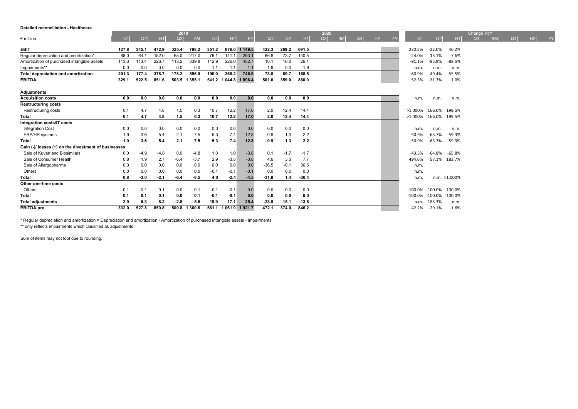#### **Detailed reconciliation - Healthcare**

|                                                      |                |        |        | 2019          |               |                |        |                       |         |        |         | 2020 |    |    |    |    |                       |                     |                  | Change YoY |           |    |    |    |
|------------------------------------------------------|----------------|--------|--------|---------------|---------------|----------------|--------|-----------------------|---------|--------|---------|------|----|----|----|----|-----------------------|---------------------|------------------|------------|-----------|----|----|----|
| $\epsilon$ million                                   | Q <sub>1</sub> | Q2     | H1     | Q3            | 9M            | Q <sub>4</sub> | H2     | <b>FY</b>             | Q1      | Q2     | H1      | Q3   | 9M | Q4 | H2 | FY | Q1                    | Q2                  | H1               | Q3         | <b>9M</b> | Q4 | H2 | FY |
| <b>EBIT</b>                                          | 127.8          | 345.1  | 472.9  | 325.4         | 798.2         | 351.2          |        | 676.6 1 149.5         | 422.3   | 269.2  | 691.5   |      |    |    |    |    | 230.5%                | $-22.0%$            | 46.2%            |            |           |    |    |    |
| Regular depreciation and amortization*               | 88.0           | 64.1   | 152.0  | 65.0          | 217.0         | 76.1           | 141.1  | 293.1                 | 66.8    | 73.7   | 140.5   |      |    |    |    |    | $-24.0%$              | 15.1%               | $-7.6%$          |            |           |    |    |    |
| Amortization of purchased intangible assets          | 113.3          | 113.4  | 226.7  | 113.2         | 339.8         | 112.9          | 226.0  | 452.7                 | 10.1    | 16.0   | 26.1    |      |    |    |    |    | $-91.1%$              | $-85.9%$            | $-88.5%$         |            |           |    |    |    |
| Impairments**                                        | 0.0            | 0.0    | 0.0    | 0.0           | 0.0           | 1.1            | 1.1    | 1.1                   | 1.9     | 0.0    | 1.9     |      |    |    |    |    | n.m.                  | n.m.                | n.m.             |            |           |    |    |    |
| Total depreciation and amortization                  | 201.3          | 177.4  | 378.7  | 178.2         | 556.9         | 190.0          | 368.2  | 746.9                 | 78.8    | 89.7   | 168.5   |      |    |    |    |    | $-60.9%$              | $-49.4%$            | $-55.5%$         |            |           |    |    |    |
| <b>EBITDA</b>                                        | 329.1          | 522.5  | 851.6  | 503.5 1 355.1 |               |                |        | 541.2 1 044.8 1 896.4 | 501.0   | 359.0  | 860.0   |      |    |    |    |    | 52.3%                 | $-31.3%$            | 1.0%             |            |           |    |    |    |
| <b>Adjustments</b>                                   |                |        |        |               |               |                |        |                       |         |        |         |      |    |    |    |    |                       |                     |                  |            |           |    |    |    |
| <b>Acquisition costs</b>                             | 0.0            | 0.0    | 0.0    | 0.0           | 0.0           | 0.0            | 0.0    | 0.0                   | 0.0     | 0.0    | 0.0     |      |    |    |    |    | n.m.                  | n.m.                | n.m.             |            |           |    |    |    |
| <b>Restructuring costs</b>                           |                |        |        |               |               |                |        |                       |         |        |         |      |    |    |    |    |                       |                     |                  |            |           |    |    |    |
| Restructuring costs                                  | 0.1            | 4.7    | 4.8    | 1.5           | 6.3           | 10.7           | 12.2   | 17.0                  | 2.0     | 12.4   | 14.4    |      |    |    |    |    | $>1.000\%$            | 166.0% 199.5%       |                  |            |           |    |    |    |
| Total                                                | 0.1            | 4.7    | 4.8    | 1.5           | 6.3           | 10.7           | 12.2   | 17.0                  | 2.0     | 12.4   | 14.4    |      |    |    |    |    | >1.000% 166.0% 199.5% |                     |                  |            |           |    |    |    |
| Integration costs/IT costs                           |                |        |        |               |               |                |        |                       |         |        |         |      |    |    |    |    |                       |                     |                  |            |           |    |    |    |
| <b>Integration Cost</b>                              | 0.0            | 0.0    | 0.0    | 0.0           | 0.0           | 0.0            | 0.0    | 0.0                   | 0.0     | 0.0    | 0.0     |      |    |    |    |    | n.m.                  | n.m.                | n.m.             |            |           |    |    |    |
| ERP/HR systems                                       | 1.9            | 3.6    | 5.4    | 2.1           | 7.5           | 5.3            | 7.4    | 12.8                  | 0.9     | 1.3    | 2.2     |      |    |    |    |    | $-50.9%$              | $-63.7%$            | -59.3%           |            |           |    |    |    |
| Total                                                | 1.9            | 3.6    | 5.4    | 2.1           | 7.5           | 5.3            | 7.4    | 12.8                  | 0.9     | 1.3    | 2.2     |      |    |    |    |    | $-50.9%$              | $-63.7%$            | -59.3%           |            |           |    |    |    |
| Gain (-)/ losses (+) on the divestment of businesses |                |        |        |               |               |                |        |                       |         |        |         |      |    |    |    |    |                       |                     |                  |            |           |    |    |    |
| Sale of Kuvan and Biosimilars                        | 0.0            | $-4.9$ | $-4.8$ | 0.0           | $-4.8$        | 1.0            | 1.0    | $-3.8$                | 0.1     | $-1.7$ | $-1.7$  |      |    |    |    |    | 43.5%                 | -64.8%              | -65.8%           |            |           |    |    |    |
| Sale of Consumer Health                              | 0.8            | 1.9    | 2.7    | $-6.4$        | $-3.7$        | 2.9            | $-3.5$ | $-0.8$                | 4.6     | 3.0    | 7.7     |      |    |    |    |    | 494.6%                |                     | 57.1% 183.7%     |            |           |    |    |    |
| Sale of Allergopharma                                | 0.0            | 0.0    | 0.0    | 0.0           | 0.0           | 0.0            | 0.0    | 0.0                   | $-36.5$ | $-0.1$ | 36.5    |      |    |    |    |    | n.m.                  |                     |                  |            |           |    |    |    |
| Others                                               | 0.0            | 0.0    | 0.0    | 0.0           | 0.0           | $-0.1$         | $-0.1$ | $-0.1$                | 0.0     | 0.0    | 0.0     |      |    |    |    |    | n.m.                  |                     |                  |            |           |    |    |    |
| <b>Total</b>                                         | 0.8            | $-3.0$ | $-2.1$ | $-6.4$        | $-8.5$        | 4.0            | $-2.4$ | $-4.5$                | $-31.8$ | 1.4    | $-30.4$ |      |    |    |    |    | n.m                   |                     | $n.m. > 1.000\%$ |            |           |    |    |    |
| Other one-time costs                                 |                |        |        |               |               |                |        |                       |         |        |         |      |    |    |    |    |                       |                     |                  |            |           |    |    |    |
| Others                                               | 0.1            | 0.1    | 0.1    | 0.0           | 0.1           | $-0.1$         | $-0.1$ | 0.0                   | 0.0     | 0.0    | 0.0     |      |    |    |    |    | $-100.0\%$            | $-100.0\% -100.0\%$ |                  |            |           |    |    |    |
| Total                                                | 0.1            | 0.1    | 0.1    | 0.0           | 0.1           | $-0.1$         | $-0.1$ | 0.0                   | 0.0     | 0.0    | 0.0     |      |    |    |    |    | $-100.0\%$            | $-100.0\% -100.0\%$ |                  |            |           |    |    |    |
| <b>Total adjustments</b>                             | 2.9            | 5.3    | 8.2    | $-2.8$        | 5.5           | 19.9           | 17.1   | 25.4                  | $-28.9$ | 15.1   | $-13.8$ |      |    |    |    |    | n.m.                  | 183.3%              | n.m.             |            |           |    |    |    |
| <b>EBITDA</b> pre                                    | 332.0          | 527.8  | 859.8  |               | 500.8 1 360.6 |                |        | 561.1 1 061.9 1 921.7 | 472.1   | 374.0  | 846.2   |      |    |    |    |    | 42.2%                 | $-29.1%$            | $-1.6%$          |            |           |    |    |    |

\* Regular depreciation and amortization = Depreciation and amortization - Amortization of purchased intangible assets - Impairments

\*\*\* only reflects impairments which classified as adjustments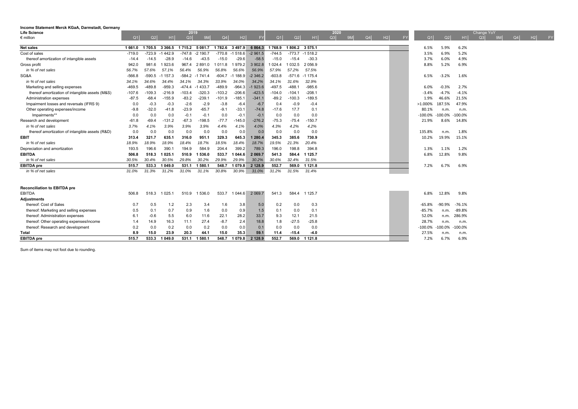| Life Science                                    |          |          |             | 2019        |            |                |                |             |          |               |                  | 2020 |    |    |    |    |                |          |           | Change YoY |    |    |    |           |
|-------------------------------------------------|----------|----------|-------------|-------------|------------|----------------|----------------|-------------|----------|---------------|------------------|------|----|----|----|----|----------------|----------|-----------|------------|----|----|----|-----------|
| $\epsilon$ million                              | Q1       | Q2       | H1          | Q3          | 9M         | Q <sub>4</sub> | H <sub>2</sub> | <b>FY</b>   | Q1       | Q2            | H1               | Q3   | 9M | Q4 | H2 | FY | Q <sub>1</sub> | Q2       | H1        | Q3         | 9M | Q4 | H2 | <b>FY</b> |
|                                                 |          |          |             |             |            | 1782.6         |                |             |          |               |                  |      |    |    |    |    |                |          |           |            |    |    |    |           |
| <b>Net sales</b>                                | 1 661.0  | 1705.5   | 3 3 6 6 . 5 | 1 7 1 5 . 2 | 5081.7     |                | 3497.9         | 6 8 6 4 . 3 | 1768.9   | 1806.2 3575.1 |                  |      |    |    |    |    | 6.5%           | 5.9%     | 6.2%      |            |    |    |    |           |
| Cost of sales                                   | $-719.0$ | $-723.9$ | $-1442.9$   | $-747.8$    | $-2$ 190.7 | $-770.8$       | $-1518.6$      | $-2961.5$   | $-744.5$ |               | $-773.7 -1518.2$ |      |    |    |    |    | 3.5%           | 6.9%     | 5.2%      |            |    |    |    |           |
| thereof amortization of intangible assets       | $-14.4$  | $-14.5$  | $-28.9$     | $-14.6$     | $-43.5$    | $-15.0$        | $-29.6$        | $-58.5$     | $-15.0$  | $-15.4$       | $-30.3$          |      |    |    |    |    | 3.7%           | 6.0%     | 4.9%      |            |    |    |    |           |
| Gross profit                                    | 942.0    | 981.6    | 1923.6      | 967.4       | 2891.0     | 1 0 1 1 .8     | 1979.2         | 3 902.8     | 1 0 24.4 | 1 0 3 2.5     | 2056.9           |      |    |    |    |    | 8.8%           | 5.2%     | 6.9%      |            |    |    |    |           |
| in % of net sales                               | 56.7%    | 57.6%    | 57.1%       | 56.4%       | 56.9%      | 56.8%          | 56.6%          | 56.9%       | 57.9%    | 57.2%         | 57.5%            |      |    |    |    |    |                |          |           |            |    |    |    |           |
| SG&A                                            | $-566.8$ | -590.5   | $-1157.3$   | $-584.2$    | $-1741.4$  | $-604.7$       | $-1188.9$      | $-2346.2$   | $-603.8$ |               | $-571.6 -1175.4$ |      |    |    |    |    | 6.5%           | $-3.2%$  | 1.6%      |            |    |    |    |           |
| in % of net sales                               | 34.1%    | 34.6%    | 34.4%       | 34.1%       | 34.3%      | 33.9%          | 34.0%          | 34.2%       | 34.1%    | 31.6%         | 32.9%            |      |    |    |    |    |                |          |           |            |    |    |    |           |
| Marketing and selling expenses                  | $-469.5$ | $-489.8$ | $-959.3$    | $-474.4$    | $-1433.7$  | $-489.9$       | $-964.3$       | $-1923.6$   | $-497.5$ | $-488.1$      | $-985.6$         |      |    |    |    |    | 6.0%           | $-0.3%$  | 2.7%      |            |    |    |    |           |
| thereof amortization of intangible assets (M&S) | $-107.6$ | $-109.3$ | $-216.9$    | $-103.4$    | $-320.3$   | $-103.2$       | $-206.6$       | $-423.5$    | $-104.0$ | $-104.1$      | $-208.1$         |      |    |    |    |    | $-3.4%$        | $-4.7%$  | $-4.1%$   |            |    |    |    |           |
| Administration expenses                         | $-87.5$  | $-68.4$  | $-155.9$    | $-83.2$     | $-239.1$   | $-101.9$       | $-185.1$       | $-341.1$    | $-89.2$  | $-100.3$      | $-189.5$         |      |    |    |    |    | 1.9%           | 46.6%    | 21.5%     |            |    |    |    |           |
| Impairment losses and reversals (IFRS 9)        | 0.0      | $-0.3$   | $-0.3$      | $-2.6$      | $-2.9$     | $-3.8$         | $-6.4$         | $-6.7$      | 0.4      | $-0.9$        | $-0.4$           |      |    |    |    |    | $>1.000\%$     | 187.5%   | 47.9%     |            |    |    |    |           |
| Other operating expenses/income                 | $-9.8$   | $-32.0$  | $-41.8$     | $-23.9$     | $-65.7$    | $-9.1$         | $-33.1$        | $-74.8$     | $-17.6$  | 17.7          | 0.1              |      |    |    |    |    | 80.1%          | n.m.     | n.m.      |            |    |    |    |           |
| Impairments**                                   | 0.0      | 0.0      | 0.0         | $-0.1$      | $-0.1$     | 0.0            | $-0.1$         | $-0.1$      | 0.0      | 0.0           | 0.0              |      |    |    |    |    | $-100.0%$      | -100.0%  | $-100.0%$ |            |    |    |    |           |
| Research and development                        | $-61.8$  | $-69.4$  | $-131.2$    | $-67.3$     | $-198.5$   | $-77.7$        | $-145.0$       | $-276.2$    | $-75.3$  | $-75.4$       | $-150.7$         |      |    |    |    |    | 21.9%          | 8.6%     | 14.8%     |            |    |    |    |           |
| in % of net sales                               | 3.7%     | 4.1%     | 3.9%        | 3.9%        | 3.9%       | 4.4%           | 4.1%           | 4.0%        | 4.3%     | 4.2%          | 4.2%             |      |    |    |    |    |                |          |           |            |    |    |    |           |
| thereof amortization of intangible assets (R&D) | 0.0      | 0.0      | 0.0         | 0.0         | 0.0        | 0.0            | 0.0            | 0.0         | 0.0      | 0.0           | 0.0              |      |    |    |    |    | 135.8%         | n.m.     | 1.8%      |            |    |    |    |           |
| <b>EBIT</b>                                     | 313.4    | 321.7    | 635.1       | 316.0       | 951.1      | 329.3          | 645.3          | 1 280.4     | 345.3    | 385.6         | 730.9            |      |    |    |    |    | 10.2%          | 19.9%    | 15.1%     |            |    |    |    |           |
| in % of net sales                               | 18.9%    | 18.9%    | 18.9%       | 18.4%       | 18.7%      | 18.5%          | 18.4%          | 18.7%       | 19.5%    | 21.3%         | 20.4%            |      |    |    |    |    |                |          |           |            |    |    |    |           |
| Depreciation and amortization                   | 193.5    | 196.6    | 390.1       | 194.9       | 584.9      | 204.4          | 399.2          | 789.3       | 196.0    | 198.8         | 394.8            |      |    |    |    |    | 1.3%           | 1.1%     | 1.2%      |            |    |    |    |           |
| <b>EBITDA</b>                                   | 506.8    | 518.3    | 1 0 2 5 . 1 | 510.9       | 1 536.0    | 533.7          | 1 044.6        | 2 0 69.7    | 541.3    | 584.4         | 1 1 2 5 . 7      |      |    |    |    |    | 6.8%           | 12.8%    | 9.8%      |            |    |    |    |           |
| in % of net sales                               | 30.5%    | 30.4%    | 30.5%       | 29.8%       | 30.2%      | 29.9%          | 29.9%          | 30.2%       | 30.6%    | 32.4%         | 31.5%            |      |    |    |    |    |                |          |           |            |    |    |    |           |
| <b>EBITDA</b> pre                               | 515.7    | 533.3    | 1 049.0     | 531.1       | 1 580.1    | 548.7          | 1 0 7 9 .8     | 2 1 2 8 .9  | 552.7    | 569.0         | 1 1 2 1 .8       |      |    |    |    |    | 7.2%           | 6.7%     | 6.9%      |            |    |    |    |           |
| in % of net sales                               | 31.0%    | 31.3%    | 31.2%       | 31.0%       | 31.1%      | 30.8%          | 30.9%          | 31.0%       | 31.2%    | 31.5%         | 31.4%            |      |    |    |    |    |                |          |           |            |    |    |    |           |
|                                                 |          |          |             |             |            |                |                |             |          |               |                  |      |    |    |    |    |                |          |           |            |    |    |    |           |
|                                                 |          |          |             |             |            |                |                |             |          |               |                  |      |    |    |    |    |                |          |           |            |    |    |    |           |
| <b>Reconciliation to EBITDA pre</b>             |          |          |             |             |            |                |                |             |          |               |                  |      |    |    |    |    |                |          |           |            |    |    |    |           |
| EBITDA                                          | 506.8    | 518.3    | 1 0 2 5 . 1 | 510.9       | 1536.0     | 533.7          | 1 0 4 4 . 6    | 2 0 69.7    | 541.3    | 584.4         | 1 1 2 5.7        |      |    |    |    |    | 6.8%           | 12.8%    | 9.8%      |            |    |    |    |           |
| <b>Adjustments</b>                              |          |          |             |             |            |                |                |             |          |               |                  |      |    |    |    |    |                |          |           |            |    |    |    |           |
| thereof: Cost of Sales                          | 0.7      | 0.5      | 1.2         | 2.3         | 3.4        | 1.6            | 3.8            | 5.0         | 0.2      | 0.0           | 0.3              |      |    |    |    |    | -65.8%         | $-90.9%$ | $-76.1%$  |            |    |    |    |           |
| thereof: Marketing and selling expenses         | 0.5      | 0.1      | 0.7         | 0.9         | 1.6        | 0.0            | 0.9            | 1.5         | 0.1      | 0.0           | 0.1              |      |    |    |    |    | $-85.7%$       | n.m.     | $-89.8%$  |            |    |    |    |           |
| thereof: Administration expenses                | 6.1      | $-0.6$   | 5.5         | 6.0         | 11.6       | 22.1           | 28.2           | 33.7        | 9.3      | 12.1          | 21.5             |      |    |    |    |    | 52.0%          | n.m.     | 286.9%    |            |    |    |    |           |
| thereof: Other operating expenses/income        | 1.4      | 14.9     | 16.3        | 11.1        | 27.4       | $-8.7$         | 2.4            | 18.8        | 1.8      | $-27.5$       | $-25.8$          |      |    |    |    |    | 28.7%          | n.m.     | n.m.      |            |    |    |    |           |
| thereof: Research and development               | 0.2      | 0.0      | 0.2         | 0.0         | 0.2        | 0.0            | 0.0            | 0.1         | 0.0      | 0.0           | 0.0              |      |    |    |    |    | $-100.0%$      | 100.0%   | $-100.0%$ |            |    |    |    |           |
| Total                                           | 8.9      | 15.0     | 23.9        | 20.3        | 44.1       | 15.0           | 35.3           | 59.1        | 11.4     | $-15.4$       | $-4.0$           |      |    |    |    |    | 27.5%          | n.m.     | n.m.      |            |    |    |    |           |
| <b>EBITDA</b> pre                               | 515.7    | 533.3    | 1 049.0     | 531.1       | 1580.1     | 548.7          | 1 0 7 9 .8     | 2 1 2 8 .9  | 552.7    | 569.0         | 1 1 2 1 . 8      |      |    |    |    |    | 7.2%           | 6.7%     | 6.9%      |            |    |    |    |           |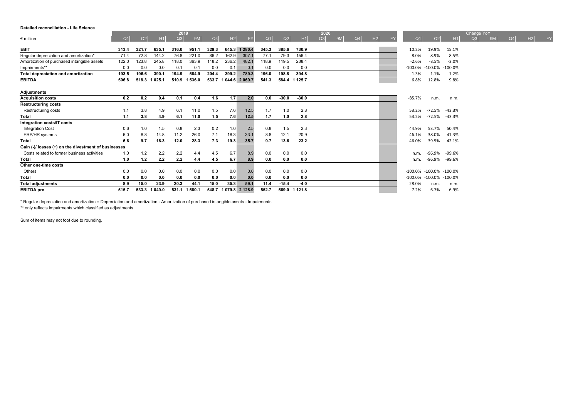#### **Detailed reconciliation - Life Science**

|                                                      |                |       |         | 2019  |        |       |       |                 |       |                |               | 2020 |    |    |    |                |                |            | Change YoY     |                |    |           |
|------------------------------------------------------|----------------|-------|---------|-------|--------|-------|-------|-----------------|-------|----------------|---------------|------|----|----|----|----------------|----------------|------------|----------------|----------------|----|-----------|
| $\epsilon$ million                                   | Q <sub>1</sub> | Q2    | H1      | Q3    | 9M     | Q4    | H2    | <b>FY</b>       | Q1    | Q <sub>2</sub> | H1            | Q3   | 9M | Q4 | H2 | Q <sub>1</sub> | Q <sub>2</sub> | H1         | O <sub>3</sub> | Q <sub>4</sub> | H2 | <b>FY</b> |
| <b>EBIT</b>                                          | 313.4          | 321.7 | 635.1   | 316.0 | 951.1  | 329.3 | 645.3 | 1 280.4         | 345.3 | 385.6          | 730.9         |      |    |    |    | 10.2%          | 19.9%          | 15.1%      |                |                |    |           |
| Regular depreciation and amortization*               | 71.4           | 72.8  | 144.2   | 76.8  | 221.0  | 86.2  | 162.9 | 307.1           | 77.1  | 79.3           | 156.4         |      |    |    |    | 8.0%           | 8.9%           | 8.5%       |                |                |    |           |
| Amortization of purchased intangible assets          | 122.0          | 123.8 | 245.8   | 118.0 | 363.9  | 118.2 | 236.2 | 482.1           | 118.9 | 119.5          | 238.4         |      |    |    |    | $-2.6%$        | $-3.5%$        | $-3.0%$    |                |                |    |           |
| Impairments**                                        | 0.0            | 0.0   | 0.0     | 0.1   | 0.1    | 0.0   | 0.1   | 0.1             | 0.0   | 0.0            | 0.0           |      |    |    |    | $-100.0\%$     | $-100.0%$      | $-100.0\%$ |                |                |    |           |
| Total depreciation and amortization                  | 193.5          | 196.6 | 390.1   | 194.9 | 584.9  | 204.4 | 399.2 | 789.3           | 196.0 | 198.8          | 394.8         |      |    |    |    | 1.3%           | 1.1%           | 1.2%       |                |                |    |           |
| <b>EBITDA</b>                                        | 506.8          | 518.3 | 1 025.1 | 510.9 | 1536.0 | 533.7 |       | 1 044.6 2 069.7 | 541.3 |                | 584.4 1 125.7 |      |    |    |    | 6.8%           | 12.8%          | 9.8%       |                |                |    |           |
|                                                      |                |       |         |       |        |       |       |                 |       |                |               |      |    |    |    |                |                |            |                |                |    |           |
| Adjustments                                          |                |       |         |       |        |       |       |                 |       |                |               |      |    |    |    |                |                |            |                |                |    |           |
| <b>Acquisition costs</b>                             | 0.2            | 0.2   | 0.4     | 0.1   | 0.4    | 1.6   | 1.7   | 2.0             | 0.0   | $-30.0$        | $-30.0$       |      |    |    |    | $-85.7%$       | n.m.           | n.m.       |                |                |    |           |
| <b>Restructuring costs</b>                           |                |       |         |       |        |       |       |                 |       |                |               |      |    |    |    |                |                |            |                |                |    |           |
| Restructuring costs                                  | 1.1            | 3.8   | 4.9     | 6.1   | 11.0   | 1.5   | 7.6   | 12.5            | 1.7   | 1.0            | 2.8           |      |    |    |    | 53.2%          | $-72.5%$       | $-43.3%$   |                |                |    |           |
| <b>Total</b>                                         | 1.1            | 3.8   | 4.9     | 6.1   | 11.0   | 1.5   | 7.6   | 12.5            | 1.7   | 1.0            | 2.8           |      |    |    |    | 53.2%          | -72.5%         | $-43.3%$   |                |                |    |           |
| Integration costs/IT costs                           |                |       |         |       |        |       |       |                 |       |                |               |      |    |    |    |                |                |            |                |                |    |           |
| <b>Integration Cost</b>                              | 0.6            | 1.0   | 1.5     | 0.8   | 2.3    | 0.2   | 1.0   | 2.5             | 0.8   | 1.5            | 2.3           |      |    |    |    | 44.9%          | 53.7%          | 50.4%      |                |                |    |           |
| ERP/HR systems                                       | 6.0            | 8.8   | 14.8    | 11.2  | 26.0   | 7.1   | 18.3  | 33.1            | 8.8   | 12.1           | 20.9          |      |    |    |    | 46.1%          | 38.0%          | 41.3%      |                |                |    |           |
| <b>Total</b>                                         | 6.6            | 9.7   | 16.3    | 12.0  | 28.3   | 7.3   | 19.3  | 35.7            | 9.7   | 13.6           | 23.2          |      |    |    |    | 46.0%          | 39.5%          | 42.1%      |                |                |    |           |
| Gain (-)/ losses (+) on the divestment of businesses |                |       |         |       |        |       |       |                 |       |                |               |      |    |    |    |                |                |            |                |                |    |           |
| Costs related to former business activities          | 1.0            | 1.2   | 2.2     | 2.2   | 4.4    | 4.5   | 6.7   | 8.9             | 0.0   | 0.0            | 0.0           |      |    |    |    | n.m.           | $-96.9%$       | $-99.6%$   |                |                |    |           |
| <b>Total</b>                                         | 1.0            | 1.2   | 2.2     | 2.2   | 4.4    | 4.5   | 6.7   | 8.9             | 0.0   | 0.0            | 0.0           |      |    |    |    | n.m.           | -96.9%         | $-99.6%$   |                |                |    |           |
| Other one-time costs                                 |                |       |         |       |        |       |       |                 |       |                |               |      |    |    |    |                |                |            |                |                |    |           |
| Others                                               | 0.0            | 0.0   | 0.0     | 0.0   | 0.0    | 0.0   | 0.0   | 0.0             | 0.0   | 0.0            | 0.0           |      |    |    |    | $-100.0%$      | $-100.0\%$     | $-100.0\%$ |                |                |    |           |
| <b>Total</b>                                         | 0.0            | 0.0   | 0.0     | 0.0   | 0.0    | 0.0   | 0.0   | 0.0             | 0.0   | 0.0            | 0.0           |      |    |    |    | $-100.0\%$     | $-100.0%$      | $-100.0%$  |                |                |    |           |
| <b>Total adjustments</b>                             | 8.9            | 15.0  | 23.9    | 20.3  | 44.1   | 15.0  | 35.3  | 59.1            | 11.4  | $-15.4$        | $-4.0$        |      |    |    |    | 28.0%          | n.m.           | n.m.       |                |                |    |           |
| <b>EBITDA</b> pre                                    | 515.7          | 533.3 | 1 049.0 | 531.1 | 1580.1 | 548.7 |       | 1 079.8 2 128.9 | 552.7 |                | 569.0 1 121.8 |      |    |    |    | 7.2%           | 6.7%           | 6.9%       |                |                |    |           |

\* Regular depreciation and amortization = Depreciation and amortization - Amortization of purchased intangible assets - Impairments

\*\* only reflects impairments which classified as adjustments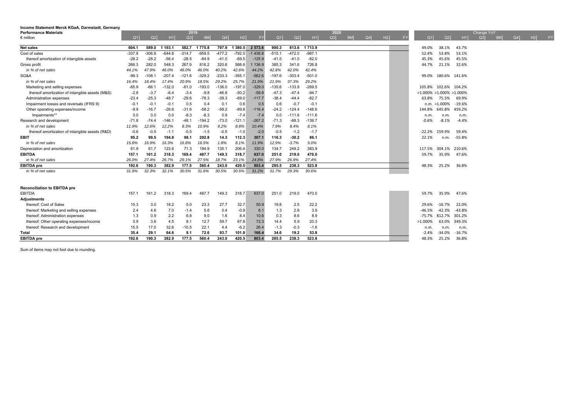| <b>Performance Materials</b>                    |                |          |          | 2019     |          |          |           |           |          |          |                | 2020 |    |    |    |    |                                |                      |          | Change YoY |    |    |    |           |
|-------------------------------------------------|----------------|----------|----------|----------|----------|----------|-----------|-----------|----------|----------|----------------|------|----|----|----|----|--------------------------------|----------------------|----------|------------|----|----|----|-----------|
| $\epsilon$ million                              | Q <sub>1</sub> | Q2       | H1       | Q3       | 9M       | Q4       | H2        | <b>FY</b> | Q1       | Q2       | H <sub>1</sub> | Q3   | 9M | Q4 | H2 | FY | Q <sub>1</sub>                 | Q <sub>2</sub>       | H1       | Q3         | 9M | Q4 | H2 | <b>FY</b> |
| <b>Net sales</b>                                | 604.1          | 589.0    | 1 193.1  | 582.7    | 1775.8   | 797.9    | 1 3 8 0.5 | 2 573.6   | 900.3    |          | 813.6 1713.9   |      |    |    |    |    | 49.0%                          | 38.1%                | 43.7%    |            |    |    |    |           |
| Cost of sales                                   | $-337.9$       | $-306.9$ | $-644.8$ | $-314.7$ | $-959.5$ | $-477.2$ | $-792.0$  | $-1436.8$ | $-515.1$ | $-472.0$ | $-987.1$       |      |    |    |    |    | 52.4%                          | 53.8%                | 53.1%    |            |    |    |    |           |
| thereof amortization of intangible assets       | $-28.2$        | $-28.2$  | $-56.4$  | $-28.5$  | $-84.9$  | $-41.0$  | $-69.5$   | $-125.9$  | $-41.0$  | $-41.0$  | $-82.0$        |      |    |    |    |    | 45.3%                          | 45.6%                | 45.5%    |            |    |    |    |           |
| Gross profit                                    | 266.3          | 282.0    | 548.3    | 267.9    | 816.2    | 320.6    | 588.6     | 1 136.9   | 385.3    | 341.6    | 726.8          |      |    |    |    |    | 44.7%                          | 21.1%                | 32.6%    |            |    |    |    |           |
| in % of net sales                               | 44.1%          | 47.9%    | 46.0%    | 46.0%    | 46.0%    | 40.2%    | 42.6%     | 44.2%     | 42.8%    | 42.0%    | 42.4%          |      |    |    |    |    |                                |                      |          |            |    |    |    |           |
| SG&A                                            | $-99.3$        | $-108.$  | $-207.4$ | $-121.8$ | $-329.2$ | $-233.3$ | $-355.1$  | $-562.6$  | $-197.6$ | $-303.4$ | $-501.0$       |      |    |    |    |    | 99.0%                          | 180.6% 141.6%        |          |            |    |    |    |           |
| in % of net sales                               | 16.4%          | 18.4%    | 17.4%    | 20.9%    | 18.5%    | 29.2%    | 25.7%     | 21.9%     | 21.9%    | 37.3%    | 29.2%          |      |    |    |    |    |                                |                      |          |            |    |    |    |           |
| Marketing and selling expenses                  | $-65.9$        | -66.     | $-132.0$ | $-61.0$  | $-193.0$ | $-136.0$ | $-197.0$  | $-329.0$  | $-135.6$ | $-133.9$ | $-269.5$       |      |    |    |    |    |                                | 105.8% 102.6% 104.2% |          |            |    |    |    |           |
| thereof amortization of intangible assets (M&S) | $-2.8$         | $-3.7$   | $-6.4$   | $-3.4$   | $-9.8$   | $-46.8$  | $-50.2$   | $-56.6$   | $-47.3$  | $-47.4$  | $-94.7$        |      |    |    |    |    | $>1.000\% > 1.000\% > 1.000\%$ |                      |          |            |    |    |    |           |
| Administration expenses                         | $-23.4$        | $-25.3$  | $-48.7$  | $-29.6$  | $-78.3$  | $-39.3$  | $-69.0$   | $-117.7$  | $-38.4$  | $-44.4$  | $-82.7$        |      |    |    |    |    | 63.8%                          | 75.5%                | 69.9%    |            |    |    |    |           |
| Impairment losses and reversals (IFRS 9)        | $-0.1$         | $-0.1$   | $-0.1$   | 0.5      | 0.4      | 0.1      | 0.6       | 0.5       | 0.6      | $-0.7$   | $-0.1$         |      |    |    |    |    |                                | n.m. >1.000%         | $-19.6%$ |            |    |    |    |           |
| Other operating expenses/income                 | $-9.9$         | $-16.7$  | $-26.6$  | $-31.6$  | $-58.2$  | $-58.2$  | $-89.8$   | $-116.4$  | $-24.2$  | $-124.4$ | $-148.6$       |      |    |    |    |    | 144.8%                         | 645.8%               | 459.2%   |            |    |    |    |           |
| Impairments**                                   | 0.0            | 0.0      | 0.0      | $-8.3$   | $-8.3$   | 0.9      | $-7.4$    | $-7.4$    | 0.0      | -111.6   | $-111.6$       |      |    |    |    |    | n.m.                           | n.m.                 | n.m.     |            |    |    |    |           |
| Research and development                        | $-71.8$        | $-74.4$  | $-146.7$ | $-48.1$  | $-194.2$ | $-73.0$  | $-121.1$  | $-267.2$  | $-71.3$  | $-68.3$  | $-139.7$       |      |    |    |    |    | -0.6%                          | $-8.1%$              | $-4.4%$  |            |    |    |    |           |
| in % of net sales                               | 11.9%          | 12.6%    | 12.2%    | 8.3%     | 10.9%    | 9.2%     | 8.8%      | 10.4%     | 7.9%     | 8.4%     | 8.1%           |      |    |    |    |    |                                |                      |          |            |    |    |    |           |
| thereof amortization of intangible assets (R&D) | $-0.6$         | $-0.5$   | $-1.1$   | $-0.5$   | $-1.5$   | $-0.5$   | $-1.0$    | $-2.0$    | $-0.5$   | $-1.2$   | $-1.7$         |      |    |    |    |    | $-22.2%$                       | 159.9%               | 59.4%    |            |    |    |    |           |
| EBIT                                            | 95.2           | 99.5     | 194.8    | 98.1     | 292.8    | 14.3     | 112.3     | 307.1     | 116.3    | $-30.2$  | 86.1           |      |    |    |    |    | 22.1%                          | n.m.                 | -55.8%   |            |    |    |    |           |
| in % of net sales                               | 15.8%          | 16.9%    | 16.3%    | 16.8%    | 16.5%    | 1.8%     | 8.1%      | 11.9%     | 12.9%    | $-3.7%$  | 5.0%           |      |    |    |    |    |                                |                      |          |            |    |    |    |           |
| Depreciation and amortization                   | 61.9           | 61.7     | 123.6    | 71.3     | 194.9    | 135.7    | 206.4     | 330.0     | 134.7    | 249.2    | 383.9          |      |    |    |    |    | 117.5%                         | 304 1%               | 210.6%   |            |    |    |    |           |
| <b>EBITDA</b>                                   | 157.1          | 161.2    | 318.3    | 169.4    | 487.7    | 149.3    | 318.7     | 637.0     | 251.0    | 219.0    | 470.0          |      |    |    |    |    | 59.7%                          | 35.9%                | 47.6%    |            |    |    |    |           |
| in % of net sales                               | 26.0%          | 27.4%    | 26.7%    | 29.1%    | 27.5%    | 18.7%    | 23.1%     | 24.8%     | 27.9%    | 26.9%    | 27.4%          |      |    |    |    |    |                                |                      |          |            |    |    |    |           |
| <b>EBITDA</b> pre                               | 192.6          | 190.3    | 382.9    | 177.5    | 560.4    | 243.0    | 420.5     | 803.4     | 285.5    | 238.3    | 523.8          |      |    |    |    |    | 48.3%                          | 25.2%                | 36.8%    |            |    |    |    |           |
| in % of net sales                               | 31.9%          | 32.3%    | 32.1%    | 30.5%    | 31.6%    | 30.5%    | 30.5%     | 31.2%     | 31.7%    | 29.3%    | 30.6%          |      |    |    |    |    |                                |                      |          |            |    |    |    |           |
| <b>Reconciliation to EBITDA pre</b>             |                |          |          |          |          |          |           |           |          |          |                |      |    |    |    |    |                                |                      |          |            |    |    |    |           |
| <b>EBITDA</b>                                   | 157.1          | 161.2    | 318.3    | 169.4    | 487.7    | 149.3    | 318.7     | 637.0     | 251.0    | 219.0    | 470.0          |      |    |    |    |    | 59.7%                          | 35.9%                | 47.6%    |            |    |    |    |           |
| <b>Adjustments</b>                              |                |          |          |          |          |          |           |           |          |          |                |      |    |    |    |    |                                |                      |          |            |    |    |    |           |
| thereof: Cost of Sales                          | 15.3           | 3.0      | 18.2     | 5.0      | 23.3     | 27.7     | 32.7      | 50.9      | 19.8     | 2.5      | 22.2           |      |    |    |    |    | 29.6%                          | 7%                   | 22.0%    |            |    |    |    |           |
| thereof: Marketing and selling expenses         | 2.4            | 4.6      | 7.0      | $-1.4$   | 5.6      | 0.4      | -0.9      | 6.1       | 1.3      | 2.6      | 3.9            |      |    |    |    |    | -46.5%                         | $-42.3%$             | $-43.8%$ |            |    |    |    |           |
| thereof: Administration expenses                | 1.3            | 0.9      | 2.2      | 6.8      | 9.0      | 1.6      | 8.4       | 10.6      | 0.3      | 8.6      | 8.9            |      |    |    |    |    | $-75.7%$                       | 812.7%               | 301.2%   |            |    |    |    |           |
| thereof: Other operating expenses/income        | 0.9            | 3.6      | 4.5      | 8.1      | 12.7     | 59.7     | 67.8      | 72.3      | 14.4     | 5.9      | 20.3           |      |    |    |    |    | $>1.000\%$                     | 63.0%                | 349.3%   |            |    |    |    |           |
| thereof: Research and development               | 15.5           | 17.0     | 32.6     | $-10.5$  | 22.1     | 4.4      | $-6.2$    | 26.4      | $-1.3$   | $-0.3$   | $-1.6$         |      |    |    |    |    | n.m.                           | n.m.                 | n.m.     |            |    |    |    |           |
| Total                                           | 35.4           | 29.1     | 64.6     | 8.1      | 72.6     | 93.7     | 101.8     | 166.4     | 34.6     | 19.2     | 53.8           |      |    |    |    |    | $-2.4%$                        | $-34.0%$             | $-16.7%$ |            |    |    |    |           |
| <b>EBITDA</b> pre                               | 192.6          | 190.3    | 382.9    | 177.5    | 560.4    | 243.0    | 420.5     | 803.4     | 285.5    | 238.3    | 523.8          |      |    |    |    |    | 48.3%                          | 25.2%                | 36.8%    |            |    |    |    |           |
|                                                 |                |          |          |          |          |          |           |           |          |          |                |      |    |    |    |    |                                |                      |          |            |    |    |    |           |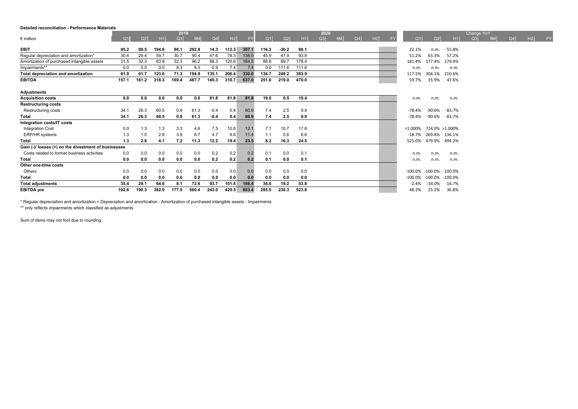#### **Detailed reconciliation - Performance Materials**

| 2019                                                 |                |       |       |       |                |        |       |       |            |         | 2020  |    |                |    |    |                        |                 | <b>Change YoY</b> |                |                |    |           |
|------------------------------------------------------|----------------|-------|-------|-------|----------------|--------|-------|-------|------------|---------|-------|----|----------------|----|----|------------------------|-----------------|-------------------|----------------|----------------|----|-----------|
| $\epsilon$ million                                   | Q <sub>1</sub> | Q2    | H1    | Q3    | 9 <sub>M</sub> | Q4     | H2    |       | $\Omega$ 1 | Q2      | H1    | Q3 | 9 <sub>M</sub> | Q4 | H2 | O <sub>1</sub>         | Q <sub>2</sub>  |                   | O <sub>3</sub> | Q <sub>4</sub> | H2 | <b>FY</b> |
| <b>EBIT</b>                                          | 95.2           | 99.5  | 194.8 | 98.1  | 292.8          | 14.3   | 112.3 | 307.1 | 116.3      | $-30.2$ | 86.1  |    |                |    |    | 22.1%                  | n.m.            | -55.8%            |                |                |    |           |
| Regular depreciation and amortization*               | 30.4           | 29.4  | 59.7  | 30.7  | 90.4           | 47.6   | 78.3  | 138.0 | 45.9       | 47.9    | 93.8  |    |                |    |    | 51.2%                  | 63.3%           | 57.2%             |                |                |    |           |
| Amortization of purchased intangible assets          | 31.5           | 32.3  | 63.9  | 32.3  | 96.2           | 88.3   | 120.6 | 184.5 | 88.8       | 89.7    | 178.4 |    |                |    |    | 181.4%                 | 177.4% 179.4%   |                   |                |                |    |           |
| Impairments**                                        | 0.0            | 0.0   | 0.0   | 8.3   | 8.3            | $-0.9$ | 7.4   | 7.4   | 0.0        | 111.6   | 111.6 |    |                |    |    | n.m.                   | n.m.            | n.m.              |                |                |    |           |
| Total depreciation and amortization                  | 61.9           | 61.7  | 123.6 | 71.3  | 194.9          | 135.1  | 206.4 | 330.0 | 134.7      | 249.2   | 383.9 |    |                |    |    | 117.5%                 | 304.1%          | 210.6%            |                |                |    |           |
| <b>EBITDA</b>                                        | 157.1          | 161.2 | 318.3 | 169.4 | 487.7          | 149.3  | 318.7 | 637.0 | 251.0      | 219.0   | 470.0 |    |                |    |    | 59.7%                  | 35.9%           | 47.6%             |                |                |    |           |
| <b>Adjustments</b>                                   |                |       |       |       |                |        |       |       |            |         |       |    |                |    |    |                        |                 |                   |                |                |    |           |
| <b>Acquisition costs</b>                             | 0.0            | 0.0   | 0.0   | 0.0   | 0.0            | 81.8   | 81.8  | 81.8  | 19.0       | 0.5     | 19.4  |    |                |    |    | n.m.                   | n.m.            | n.m.              |                |                |    |           |
| <b>Restructuring costs</b>                           |                |       |       |       |                |        |       |       |            |         |       |    |                |    |    |                        |                 |                   |                |                |    |           |
| Restructuring costs                                  | 34.1           | 26.3  | 60.5  | 0.9   | 61.3           | $-0.4$ | 0.4   | 60.9  | 7.4        | 2.5     | 9.9   |    |                |    |    | $-78.4%$               | -90.6%          | $-83.7%$          |                |                |    |           |
| <b>Total</b>                                         | 34.1           | 26.3  | 60.5  | 0.9   | 61.3           | $-0.4$ | 0.4   | 60.9  | 7.4        | 2.5     | 9.9   |    |                |    |    | $-78.4%$               | -90.6%          | $-83.7%$          |                |                |    |           |
| Integration costs/IT costs                           |                |       |       |       |                |        |       |       |            |         |       |    |                |    |    |                        |                 |                   |                |                |    |           |
| <b>Integration Cost</b>                              | 0.0            | 1.3   | 1.3   | 3.3   | 4.6            | 7.5    | 10.8  | 12.1  | 7.1        | 10.7    | 17.8  |    |                |    |    | >1.000% 724.0% >1.000% |                 |                   |                |                |    |           |
| <b>ERP/HR</b> systems                                | 1.3            | 1.5   | 2.8   | 3.9   | 6.7            | 4.7    | 8.6   | 11.4  | 1.1        | 5.6     | 6.6   |    |                |    |    | $-18.7%$               | 269.8% 136.1%   |                   |                |                |    |           |
| <b>Total</b>                                         | 1.3            | 2.8   | 4.1   | 7.2   | 11.3           | 12.2   | 19.4  | 23.5  | 8.2        | 16.3    | 24.5  |    |                |    |    | 525.0%                 | 479.9% 494.2%   |                   |                |                |    |           |
| Gain (-)/ losses (+) on the divestment of businesses |                |       |       |       |                |        |       |       |            |         |       |    |                |    |    |                        |                 |                   |                |                |    |           |
| Costs related to former business activities          | 0.0            | 0.0   | 0.0   | 0.0   | 0.0            | 0.2    | 0.2   | 0.2   | 0.1        | 0.0     | 0.1   |    |                |    |    | n.m.                   | n.m.            | n.m.              |                |                |    |           |
| <b>Total</b>                                         | 0.0            | 0.0   | 0.0   | 0.0   | 0.0            | 0.2    | 0.2   | 0.2   | 0.1        | 0.0     | 0.1   |    |                |    |    | n.m.                   | n.m.            | n.m.              |                |                |    |           |
| Other one-time costs                                 |                |       |       |       |                |        |       |       |            |         |       |    |                |    |    |                        |                 |                   |                |                |    |           |
| Others                                               | 0.0            | 0.0   | 0.0   | 0.0   | 0.0            | 0.0    | 0.0   | 0.0   | 0.0        | 0.0     | 0.0   |    |                |    |    | -100.0%                | -100.0% -100.0% |                   |                |                |    |           |
| <b>Total</b>                                         | 0.0            | 0.0   | 0.0   | 0.0   | 0.0            | 0.0    | 0.0   | 0.0   | 0.0        | 0.0     | 0.0   |    |                |    |    | -100.0%                | $-100.0\%$      | $-100.0%$         |                |                |    |           |
| <b>Total adjustments</b>                             | 35.4           | 29.1  | 64.6  | 8.1   | 72.6           | 93.7   | 101.8 | 166.4 | 34.6       | 19.2    | 53.8  |    |                |    |    | $-2.4%$                | $-34.0%$        | $-16.7%$          |                |                |    |           |
| <b>EBITDA</b> pre                                    | 192.6          | 190.3 | 382.9 | 177.5 | 560.4          | 243.0  | 420.5 | 803.4 | 285.5      | 238.3   | 523.8 |    |                |    |    | 48.3%                  | 25.2%           | 36.8%             |                |                |    |           |

\* Regular depreciation and amortization = Depreciation and amortization - Amortization of purchased intangible assets - Impairments

\*\* only reflects impairments which classified as adjustments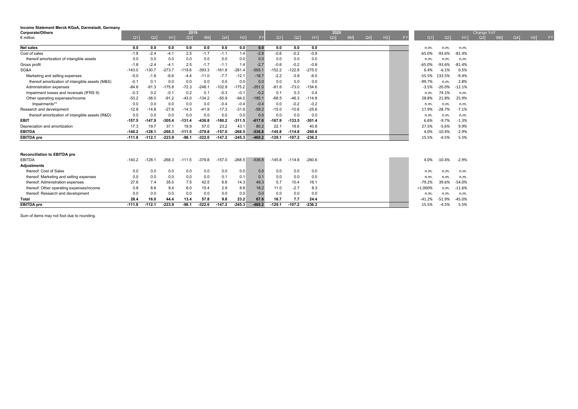| Corporate/Others                                |                |          |                | 2019     |          |                |          |           |                |                |          | 2020 |    |                |                |           |                |                |          | Change YoY |           |                |    |    |
|-------------------------------------------------|----------------|----------|----------------|----------|----------|----------------|----------|-----------|----------------|----------------|----------|------|----|----------------|----------------|-----------|----------------|----------------|----------|------------|-----------|----------------|----|----|
| $\epsilon$ million                              | Q <sub>1</sub> | Q2       | H <sub>1</sub> | Q3       | 9M       | Q <sub>4</sub> | H2       | <b>FY</b> | Q <sub>1</sub> | Q <sub>2</sub> | H1       | Q3   | 9M | Q <sub>4</sub> | H <sub>2</sub> | <b>FY</b> | Q <sub>1</sub> | Q <sub>2</sub> | H1       | Q3         | <b>QM</b> | Q <sub>4</sub> | H2 | FY |
| <b>Net sales</b>                                | 0.0            | 0.0      | 0.0            | 0.0      | 0.0      | 0.0            | 0.0      | 0.0       | 0.0            | 0.0            | 0.0      |      |    |                |                |           | n.m.           | n.m.           | n.m.     |            |           |                |    |    |
| Cost of sales                                   | $-1.8$         | $-2.4$   | $-4.1$         | 2.5      | $-1.7$   | $-1.1$         | 1.4      | $-2.8$    | $-0.6$         | $-0.2$         | $-0.8$   |      |    |                |                |           | $-65.0%$       | $-93.6%$       | $-81.4%$ |            |           |                |    |    |
| thereof amortization of intangible assets       | 0.0            | 0.0      | 0.0            | 0.0      | 0.0      | 0.0            | 0.0      | 0.0       | 0.0            | 0.0            | 0.0      |      |    |                |                |           | n.m.           | n.m            | n.m.     |            |           |                |    |    |
| Gross profit                                    | $-1.8$         | $-2.4$   | $-4.1$         | 2.5      | $-1.7$   | $-1.1$         | 1.4      | $-2.7$    | $-0.6$         | $-0.2$         | $-0.8$   |      |    |                |                |           | $-65.0%$       | $-93.6%$       | $-81.4%$ |            |           |                |    |    |
| SG&A                                            | $-143.0$       | $-130.7$ | $-273.7$       | $-119.6$ | $-393.3$ | $-161.8$       | $-281.4$ | $-555.1$  | $-152.2$       | $-122.8$       | $-275.0$ |      |    |                |                |           | 6.4%           | $-6.1%$        | 0.5%     |            |           |                |    |    |
| Marketing and selling expenses                  | $-5.0$         | $-1.6$   | $-6.6$         | $-4.4$   | $-11.0$  | $-7.7$         | $-12.1$  | $-18.7$   | $-2.2$         | $-3.8$         | $-6.0$   |      |    |                |                |           | $-55.5%$       | 133.5%         | $-9.4%$  |            |           |                |    |    |
| thereof amortization of intangible assets (M&S) | $-0.1$         | 0.1      | 0.0            | 0.0      | 0.0      | 0.0            | 0.0      | 0.0       | 0.0            | 0.0            | 0.0      |      |    |                |                |           | $-99.7%$       | n.m            | 2.8%     |            |           |                |    |    |
| Administration expenses                         | $-84.6$        | $-91.3$  | $-175.8$       | $-72.3$  | $-248.1$ | $-102.9$       | $-175.2$ | $-351.0$  | $-81.6$        | $-73.0$        | $-154.6$ |      |    |                |                |           | $-3.5%$        | $-20.0%$       | $-12.1%$ |            |           |                |    |    |
| Impairment losses and reversals (IFRS 9)        | $-0.3$         | 0.2      | $-0.7$         | 0.2      | 0.1      | $-0.3$         | $-0.1$   | $-0.2$    | 0.1            | 0.3            | 0.4      |      |    |                |                |           | n.m.           | 74.1%          | n.m.     |            |           |                |    |    |
| Other operating expenses/income                 | $-53.2$        | $-38.0$  | $-91.2$        | $-43.0$  | $-134.2$ | $-50.9$        | $-94.0$  | $-185.1$  | $-68.5$        | $-46.3$        | $-114.8$ |      |    |                |                |           | 28.8%          | 21.8%          | 25.9%    |            |           |                |    |    |
| Impairments**                                   | 0.0            | 0.0      | 0.0            | 0.0      | 0.0      | $-0.4$         | $-0.4$   | $-0.4$    | 0.0            | $-0.2$         | $-0.2$   |      |    |                |                |           | n.m.           | n.m            | n.m.     |            |           |                |    |    |
| Research and development                        | $-12.8$        | $-14.8$  | $-27.6$        | $-14.3$  | $-41.9$  | $-17.3$        | $-31.6$  | $-59.2$   | $-15.0$        | $-10.6$        | $-25.6$  |      |    |                |                |           | 17.9%          | $-28.7%$       | $-7.1%$  |            |           |                |    |    |
| thereof amortization of intangible assets (R&D) | 0.0            | 0.0      | 0.0            | 0.0      | 0.0      | 0.0            | 0.0      | 0.0       | 0.0            | 0.0            | 0.0      |      |    |                |                |           | n.m.           | n.m            | n.m.     |            |           |                |    |    |
| EBIT                                            | $-157.5$       | $-147.9$ | $-305.4$       | $-131.4$ | -436.8   | $-180.2$       | $-311.5$ | $-617.0$  | $-167.9$       | $-133.5$       | $-301.4$ |      |    |                |                |           | 6.6%           | $-9.7%$        | $-1.3%$  |            |           |                |    |    |
| Depreciation and amortization                   | 17.3           | 19.7     | 37.7           | 19.9     | 57.0     | 23.2           | 43.1     | 80.2      | 22.7           | 18.6           | 40.8     |      |    |                |                |           | 27.5%          | $-5.6%$        | 9.9%     |            |           |                |    |    |
| <b>EBITDA</b>                                   | $-140.2$       | $-128.1$ | $-268.3$       | $-111.5$ | $-379.8$ | $-157.0$       | $-268.5$ | $-536.8$  | $-145.8$       | $-114.8$       | $-260.6$ |      |    |                |                |           | 4.0%           | $-10.4%$       | $-2.9%$  |            |           |                |    |    |
| <b>EBITDA</b> pre                               | $-111.8$       | $-112.1$ | $-223.9$       | $-98.1$  | $-322.0$ | $-147.2$       | $-245.3$ | $-469.2$  | $-129.1$       | $-107.2$       | $-236.2$ |      |    |                |                |           | 15.5%          | $-4.5%$        | 5.5%     |            |           |                |    |    |
|                                                 |                |          |                |          |          |                |          |           |                |                |          |      |    |                |                |           |                |                |          |            |           |                |    |    |
| <b>Reconciliation to EBITDA pre</b>             |                |          |                |          |          |                |          |           |                |                |          |      |    |                |                |           |                |                |          |            |           |                |    |    |
| EBITDA                                          | $-140.2$       | $-128.1$ | $-268.3$       | $-111.5$ | $-379.8$ | $-157.0$       | $-268.5$ | $-536.8$  | $-145.8$       | $-114.8$       | $-260.6$ |      |    |                |                |           | 4.0%           | $-10.4%$       | $-2.9%$  |            |           |                |    |    |
| <b>Adjustments</b>                              |                |          |                |          |          |                |          |           |                |                |          |      |    |                |                |           |                |                |          |            |           |                |    |    |
| thereof: Cost of Sales                          | 0.0            | 0.0      | 0.0            | 0.0      | 0.0      | 0.0            | 0.0      | 0.0       | 0.0            | 0.0            | 0.0      |      |    |                |                |           | n.m.           | n.m            | n.m.     |            |           |                |    |    |
| thereof: Marketing and selling expenses         | 0.0            | 0.0      | 0.0            | 0.0      | 0.0      | 0.1            | 0.1      | 0.1       | 0.0            | 0.0            | 0.0      |      |    |                |                |           | n.m.           | n.m            | n.m.     |            |           |                |    |    |
| thereof: Administration expenses                | 27.6           | 7.4      | 35.0           | 7.5      | 42.5     | 6.8            | 14.3     | 49.3      | 5.7            | 10.4           | 16.1     |      |    |                |                |           | $-79.2%$       | 39.6%          | $-54.0%$ |            |           |                |    |    |
| thereof: Other operating expenses/income        | 0.8            | 8.6      | 9.4            | 6.0      | 15.4     | 2.9            | 8.8      | 18.2      | 11.0           | $-2.7$         | 8.3      |      |    |                |                |           | >1.000%        | n.m            | $-11.6%$ |            |           |                |    |    |
| thereof: Research and development               | 0.0            | 0.0      | 0.0            | 0.0      | 0.0      | 0.0            | 0.0      | 0.0       | 0.0            | 0.0            | 0.0      |      |    |                |                |           | n.m.           | n.m            | n.m.     |            |           |                |    |    |
| Total                                           | 28.4           | 16.0     | 44.4           | 13.4     | 57.8     | 9.8            | 23.2     | 67.6      | 16.7           | 7.7            | 24.4     |      |    |                |                |           | $-41.2%$       | $-51.9%$       | $-45.0%$ |            |           |                |    |    |
| <b>EBITDA</b> pre                               | $-111.8$       | $-112.1$ | $-223.9$       | $-98.1$  | $-322.0$ | $-147.2$       | $-245.3$ | $-469.2$  | $-129.1$       | $-107.2$       | $-236.2$ |      |    |                |                |           | 15.5%          | $-4.5%$        | 5.5%     |            |           |                |    |    |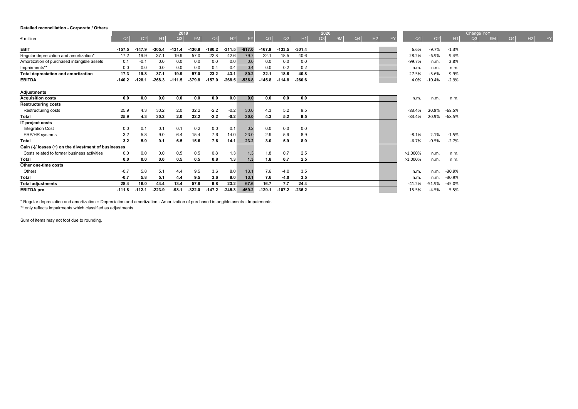#### **Detailed reconciliation - Corporate / Others**

|                                                      |                |          |                | 2019     |          |            |          |           |          |          |          | 2020 |           |    |    |           |            |                |          | Change YoY     |                |    |           |
|------------------------------------------------------|----------------|----------|----------------|----------|----------|------------|----------|-----------|----------|----------|----------|------|-----------|----|----|-----------|------------|----------------|----------|----------------|----------------|----|-----------|
| $\epsilon$ million                                   | Q <sub>1</sub> | Q2       | H <sub>1</sub> | Q3       |          | $\Omega$ 4 | H2       | <b>FY</b> | Q1       | Q2       | H1       | Q3   | <b>9M</b> | Q4 | H2 | <b>FY</b> | $\Omega$ 1 | Q <sub>2</sub> | H1       | O <sub>3</sub> | Q <sub>4</sub> | H2 | <b>FY</b> |
| <b>EBIT</b>                                          | $-157.5$       | $-147.9$ | $-305.4$       | $-131.4$ | $-436.8$ | $-180.2$   | $-311.5$ | $-617.0$  | $-167.9$ | $-133.5$ | $-301.4$ |      |           |    |    |           | 6.6%       | $-9.7%$        | $-1.3%$  |                |                |    |           |
| Regular depreciation and amortization*               | 17.2           | 19.9     | 37.1           | 19.9     | 57.0     | 22.8       | 42.6     | 79.7      | 22.1     | 18.5     | 40.6     |      |           |    |    |           | 28.2%      | $-6.9%$        | 9.4%     |                |                |    |           |
| Amortization of purchased intangible assets          | 0.1            | $-0.1$   | 0.0            | 0.0      | 0.0      | 0.0        | 0.0      | 0.0       | 0.0      | 0.0      | 0.0      |      |           |    |    |           | $-99.7%$   | n.m.           | 2.8%     |                |                |    |           |
| Impairments**                                        | 0.0            | 0.0      | 0.0            | 0.0      | 0.0      | 0.4        | 0.4      | 0.4       | 0.0      | 0.2      | 0.2      |      |           |    |    |           | n.m.       | n.m.           | n.m.     |                |                |    |           |
| Total depreciation and amortization                  | 17.3           | 19.8     | 37.1           | 19.9     | 57.0     | 23.2       | 43.1     | 80.2      | 22.1     | 18.6     | 40.8     |      |           |    |    |           | 27.5%      | $-5.6%$        | 9.9%     |                |                |    |           |
| <b>EBITDA</b>                                        | $-140.2$       | $-128.1$ | $-268.3$       | $-111.5$ | $-379.8$ | $-157.0$   | $-268.5$ | $-536.8$  | $-145.8$ | $-114.8$ | $-260.6$ |      |           |    |    |           | 4.0%       | $-10.4%$       | $-2.9%$  |                |                |    |           |
|                                                      |                |          |                |          |          |            |          |           |          |          |          |      |           |    |    |           |            |                |          |                |                |    |           |
| <b>Adjustments</b>                                   |                |          |                |          |          |            |          |           |          |          |          |      |           |    |    |           |            |                |          |                |                |    |           |
| <b>Acquisition costs</b>                             | 0.0            | 0.0      | 0.0            | 0.0      | 0.0      | 0.0        | 0.0      | 0.0       | 0.0      | 0.0      | 0.0      |      |           |    |    |           | n.m.       | n.m.           | n.m.     |                |                |    |           |
| <b>Restructuring costs</b>                           |                |          |                |          |          |            |          |           |          |          |          |      |           |    |    |           |            |                |          |                |                |    |           |
| Restructuring costs                                  | 25.9           | 4.3      | 30.2           | 2.0      | 32.2     | $-2.2$     | $-0.2$   | 30.0      | 4.3      | 5.2      | 9.5      |      |           |    |    |           | $-83.4%$   | 20.9%          | $-68.5%$ |                |                |    |           |
| <b>Total</b>                                         | 25.9           | 4.3      | 30.2           | 2.0      | 32.2     | $-2.2$     | $-0.2$   | 30.0      | 4.3      | 5.2      | 9.5      |      |           |    |    |           | $-83.4%$   | 20.9%          | $-68.5%$ |                |                |    |           |
| IT project costs                                     |                |          |                |          |          |            |          |           |          |          |          |      |           |    |    |           |            |                |          |                |                |    |           |
| <b>Integration Cost</b>                              | 0.0            | 0.1      | 0.1            | 0.1      | 0.2      | 0.0        | 0.1      | 0.2       | 0.0      | 0.0      | 0.0      |      |           |    |    |           |            |                |          |                |                |    |           |
| ERP/HR systems                                       | 3.2            | 5.8      | 9.0            | 6.4      | 15.4     | 7.6        | 14.0     | 23.0      | 2.9      | 5.9      | 8.9      |      |           |    |    |           | $-8.1%$    | 2.1%           | $-1.5%$  |                |                |    |           |
| Total                                                | 3.2            | 5.9      | 9.1            | 6.5      | 15.6     | 7.6        | 14.1     | 23.2      | 3.0      | 5.9      | 8.9      |      |           |    |    |           | $-6.7%$    | $-0.5%$        | $-2.7%$  |                |                |    |           |
| Gain (-)/ losses (+) on the divestment of businesses |                |          |                |          |          |            |          |           |          |          |          |      |           |    |    |           |            |                |          |                |                |    |           |
| Costs related to former business activities          | 0.0            | 0.0      | 0.0            | 0.5      | 0.5      | 0.8        | 1.3      | 1.3       | 1.8      | 0.7      | 2.5      |      |           |    |    |           | >1.000%    | n.m.           | n.m.     |                |                |    |           |
| Total                                                | 0.0            | 0.0      | 0.0            | 0.5      | 0.5      | 0.8        | 1.3      | 1.3       | 1.8      | 0.7      | 2.5      |      |           |    |    |           | >1.000%    | n.m.           | n.m.     |                |                |    |           |
| Other one-time costs                                 |                |          |                |          |          |            |          |           |          |          |          |      |           |    |    |           |            |                |          |                |                |    |           |
| Others                                               | $-0.7$         | 5.8      | 5.1            | 4.4      | 9.5      | 3.6        | 8.0      | 13.1      | 7.6      | $-4.0$   | 3.5      |      |           |    |    |           | n.m.       | n.m.           | $-30.9%$ |                |                |    |           |
| <b>Total</b>                                         | $-0.7$         | 5.8      | 5.1            | 4.4      | 9.5      | 3.6        | 8.0      | 13.1      | 7.6      | $-4.0$   | 3.5      |      |           |    |    |           | n.m.       | n.m.           | $-30.9%$ |                |                |    |           |
| <b>Total adjustments</b>                             | 28.4           | 16.0     | 44.4           | 13.4     | 57.8     | 9.8        | 23.2     | 67.6      | 16.7     | 7.7      | 24.4     |      |           |    |    |           | $-41.2%$   | $-51.9%$       | $-45.0%$ |                |                |    |           |
| <b>EBITDA</b> pre                                    | $-111.8$       | $-112.1$ | $-223.9$       | $-98.1$  | $-322.0$ | $-147.2$   | $-245.3$ | $-469.2$  | $-129.1$ | $-107.2$ | $-236.2$ |      |           |    |    |           | 15.5%      | $-4.5%$        | 5.5%     |                |                |    |           |

\* Regular depreciation and amortization = Depreciation and amortization - Amortization of purchased intangible assets - Impairments

\*\* only reflects impairments which classified as adjustments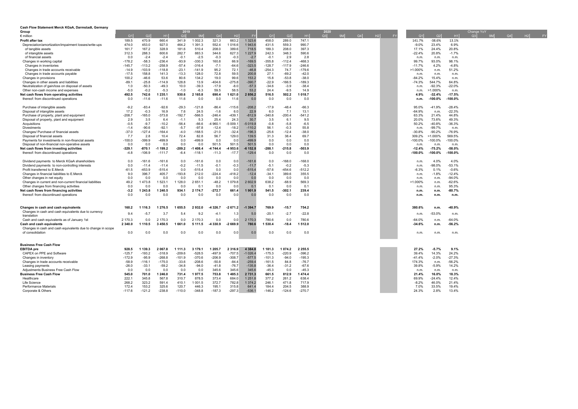| Cash Flow Statement Merck KGaA, Darmstadt, Germany                  |                    |                      |                      |                    |                   |                  |                  |                         |                |                    |                     |      |    |                     |  |                  |                       |                       |                      |            |  |
|---------------------------------------------------------------------|--------------------|----------------------|----------------------|--------------------|-------------------|------------------|------------------|-------------------------|----------------|--------------------|---------------------|------|----|---------------------|--|------------------|-----------------------|-----------------------|----------------------|------------|--|
| Group                                                               |                    |                      |                      | 2019               |                   |                  |                  |                         |                |                    |                     | 2020 |    |                     |  |                  |                       |                       | Change YoY           |            |  |
| $\notin$ million                                                    | Q <sub>1</sub>     | Q <sub>2</sub>       | H1                   | O <sub>3</sub>     | 9M                | Q <sub>4</sub>   | H <sub>2</sub>   | F                       | Q1             | Q <sub>2</sub>     | H1                  | Q3   | 9M | $Q4$ H <sub>2</sub> |  | Q1               | Q <sub>2</sub>        | H1                    | Q3<br>9 <sub>M</sub> | $Q4$ H2 FY |  |
| Profit after tax                                                    | 189.5              | 470.9                | 660.4                | 341.9              | 1 002.3           | 321.3            | 663.2            | 1 3 2 3 . 6             | 458.0          | 289.0              | 747.1               |      |    |                     |  | 141.7%           | $-38.6%$              | 13.1%                 |                      |            |  |
| Depreciation/amortization/impairment losses/write-ups               | 474.0              | 453.0                | 927.0                | 464.2              | 1 391.3           | 552.4            | 1016.6           | 1943.6                  | 431.5          | 559.3              | 990.7               |      |    |                     |  | $-9.0%$          | 23.4%                 | 6.9%                  |                      |            |  |
| of tangible assets                                                  | 161.7              | 167.2                | 328.9                | 181.6              | 510.4             | 208.0            | 389.6            | 718.5                   | 189.3          | 208.0              | 397.3               |      |    |                     |  | 17.1%            | 24.4%                 | 20.8%                 |                      |            |  |
| of intangible assets                                                | 312.3              | 288.3                | 600.6                | 282.7              | 883.3             | 344.6            | 627.3            | 1 2 2 7 .9              | 242.3          | 348.3              | 590.6               |      |    |                     |  | $-22.4%$         | 20.8%                 | $-1.7%$               |                      |            |  |
| of financial assets                                                 | 0.0                | $-2.4$               | $-2.4$               | $-0.1$             | $-2.5$            | $-0.3$           | $-0.3$           | $-2.7$                  | $-0.1$         | 2.9                | 2.8                 |      |    |                     |  | n.m.             | n.m.                  | n.m.                  |                      |            |  |
| Changes in working capital                                          | $-178.2$           | $-58.3$              | $-236.4$             | $-93.9$            | $-330.3$          | 160.8            | 66.9             | $-169.5$                | $-355.8$       | $-112.4$           | $-468.3$            |      |    |                     |  | 99.7%            | 93.0%                 | 98.1%                 |                      |            |  |
| Changes in inventories                                              | $-145.7$           | $-113.2$             | $-258.9$             | $-57.4$            | $-316.4$          | $-7.1$           | $-64.6$          | $-323.5$                | $-128.7$       | $-117.9$           | $-246.6$            |      |    |                     |  | $-11.7%$         | 4.2%                  | $-4.8%$               |                      |            |  |
| Changes in trade accounts receivable                                | $-14.9$            | $-103.9$             | $-118.8$<br>141.3    | $-23.1$            | $-141.9$          | 95.2             | 72.1             | $-46.8$                 | $-254.3$       | 74.7               | $-179.6$<br>$-42.0$ |      |    |                     |  | >1.000%          | n.m.                  | 51.2%                 |                      |            |  |
| Changes in trade accounts payable<br>Changes in provisions          | $-17.5$<br>100.2   | 158.8<br>$-46.6$     | 53.6                 | $-13.3$<br>80.6    | 128.0<br>134.2    | 72.8<br>19.0     | 59.5<br>99.6     | 200.8<br>153.2          | 27.1<br>15.8   | $-69.2$<br>$-53.8$ | $-38.0$             |      |    |                     |  | n.m.<br>$-84.2%$ | n.m.<br>15.4%         | n.m.<br>n.m.          |                      |            |  |
| Changes in other assets and liabilities                             | $-89.1$            | $-25.8$              | $-114.9$             | 128.8              | 13.9              | $-404.6$         | $-275.8$         | $-390.7$                | $-22.9$        | $-166.5$           | $-189.3$            |      |    |                     |  | $-74.3%$         | 544.7%                | 64.8%                 |                      |            |  |
| Neutralization of gain/loss on disposal of assets                   | 1.0                | $-50.3$              | $-49.3$              | 10.0               | $-39.3$           | $-17.9$          | $-8.0$           | $-57.3$                 | $-34.6$        | $-3.9$             | $-38.4$             |      |    |                     |  | n.m.             | $-92.3%$              | $-22.0%$              |                      |            |  |
| Other non-cash income and expenses                                  | $-5.0$             | $-0.2$               | $-5.3$               | $-1.0$             | $-6.3$            | 59.5             | 58.5             | 53.2                    | 24.4           | $-9.5$             | 14.9                |      |    |                     |  | n.m.             | $>1.000\%$            | n.m.                  |                      |            |  |
| Net cash flows from operating activities                            | 492.5              | 742.6                | 1235.1               | 930.6              | 2 165.8           | 690.4            | 621.0            | 2856.2                  | 516.5          | 502.2              | 1 018.7             |      |    |                     |  | 4.9%             | $-32.4%$              | $-17.5%$              |                      |            |  |
| thereof: from discontinued operations                               | 0.0                | $-11.6$              | $-11.6$              | 11.6               | 0.0               | 0.0              | 11.6             | 0.0                     | 0.0            | 0.0                | 0.0                 |      |    |                     |  | n.m.             | $-100.0%$             | $-100.0%$             |                      |            |  |
|                                                                     |                    |                      |                      |                    |                   |                  |                  |                         |                |                    |                     |      |    |                     |  |                  |                       |                       |                      |            |  |
| Purchase of intangible assets                                       | $-9.2$             | $-83.4$              | $-92.6$              | $-29.3$            | $-121.8$          | $-86.4$          | $-115.6$         | $-208.2$                | $-17.9$        | $-48.4$            | $-66.3$             |      |    |                     |  | 95.0%            | $-41.9%$              | $-28.4%$              |                      |            |  |
| Disposal of intangible assets                                       | 17.2               | $-0.3$               | 16.9                 | 7.6                | 24.5              | $-1.6$           | 6.0              | 22.9                    | 6.0            | 7.1                | 13.1                |      |    |                     |  | $-64.9%$         | n.m.                  | $-22.3%$              |                      |            |  |
| Purchase of property, plant and equipment                           | $-208.7$           | $-165.0$             | $-373.8$             | $-192.7$           | $-566.5$          | $-246.4$         | $-439.1$         | $-812.9$                | $-340.8$       | $-200.4$           | $-541.2$            |      |    |                     |  | 63.3%            | 21.4%                 | 44.8%                 |                      |            |  |
| Disposal of property, plant and equipment                           | 2.9                | 3.5                  | 6.4                  | $-1.1$             | 5.3               | 25.4             | 24.3             | 30.7                    | 3.5            | 6.1                | 9.5                 |      |    |                     |  | 20.0%            | 73.6%                 | 49.3%                 |                      |            |  |
| Acquisitions                                                        | $-0.5$             | $-9.7$               | $-10.2$              | $-56.4$            | $-66.6$           | 960.1            | 5 009.1          | $-5019.8$               | $-0.8$         | $-5.8$             | $-6.5$              |      |    |                     |  | 50.2%            | $-40.8%$              | $-36.3%$              |                      |            |  |
| Divestments                                                         | $-1.4$             | $-90.6$              | $-92.1$              | $-5.7$             | $-97.8$           | $-12.4$          | $-18.2$          | $-110.2$                | 56.1           | $-0.3$             | 55.8                |      |    |                     |  | n.m.             | $-99.7%$              | n.m.                  |                      |            |  |
| Changes/ Purchase of financial assets                               | $-37.0$            | $-127.4$             | $-164.4$             | $-4.0$             | $-168.5$          | $-21.0$          | $-32.4$          | $-196.3$                | $-25.6$        | $-12.4$            | $-38.0$             |      |    |                     |  | $-30.8%$         | $-90.2%$              | $-76.9%$              |                      |            |  |
| Disposal of financial assets                                        | 7.7                | 2.8                  | 10.4                 | 72.4               | 82.8              | 56.7             | 129.0            | 139.5                   | 31.3           | 38.4               | 69.7                |      |    |                     |  | 309.2%           | $>1.000\%$            | 569.5%                |                      |            |  |
| Payments for investments in non-financial assets                    | $-100.0$           | $-399.9$             | $-499.9$             | 0.0                | $-499.9$          | 0.0              | 0.0              | $-499.9$                | 0.0            | 0.0                | 0.0                 |      |    |                     |  | $-100.0%$        | $-100.0%$             | $-100.0%$             |                      |            |  |
| Disposal of non-financial non-operative assets                      | 0.0                | 0.0                  | 0.0                  | 0.0                | 0.0               | 501.5            | 501.5            | 501.5                   | 0.0            | 0.0                | 0.0                 |      |    |                     |  | n.m.             | n.m.                  | n.m.                  |                      |            |  |
| Net cash flows from investing activities                            | $-329.1$<br>$-4.8$ | $-870.1$<br>$-106.9$ | -1 199.2<br>$-111.7$ | $-209.2$<br>$-6.4$ | 408.4<br>$-118.1$ | 744.4<br>$-11.3$ | 953.6<br>$-17.7$ | 152.8<br>-6             | $-288.1$       | $-215.8$<br>0.0    | $-503.9$<br>0.0     |      |    |                     |  | $-12.4%$         | $-75.2%$<br>$-100.0%$ | $-58.0%$<br>$-100.0%$ |                      |            |  |
| thereof: from discontinued operations                               |                    |                      |                      |                    |                   |                  |                  | $-129.4$                | 0.0            |                    |                     |      |    |                     |  | $-100.0\%$       |                       |                       |                      |            |  |
| Dividend payments to Merck KGaA shareholders                        | 0.0                | $-161.6$             | $-161.6$             | 0.0                | $-161.6$          | 0.0              | 0.0              | $-161.6$                | 0.0            | $-168.0$           | $-168.0$            |      |    |                     |  | n.m.             | 4.0%                  | 4.0%                  |                      |            |  |
| Dividend payments to non-controlling interests                      | 0.0                | $-11.4$              | $-11.4$              | $-0.2$             | $-11.5$           | $-0.1$           | $-0.3$           | $-11.7$                 | $-5.1$         | $-0.2$             | $-5.3$              |      |    |                     |  | n.m.             | $-98.0%$              | $-53.1%$              |                      |            |  |
| Profit transferred to E.Merck                                       | $-61.5$            | $-453.9$             | $-515.4$             | 0.0                | $-515.4$          | 0.0              | 0.0              | $-515.4$                | $-57.6$        | $-454.6$           | $-512.2$            |      |    |                     |  | $-6.3%$          | 0.1%                  | $-0.6%$               |                      |            |  |
| Changes in financial liabilities to E.Merck                         | 9.0                | 396.7                | 405.7                | $-193.8$           | 212.0             | $-224.4$         | $-418.2$         | $-12.4$                 | $-34.1$        | 389.6              | 355.5               |      |    |                     |  | n.m              | $-1.8%$               | $-12.4%$              |                      |            |  |
| Other changes in net equity                                         | 0.0                | 0.0                  | 0.0                  | 0.0                | 0.0               | 0.0              | 0.0              | 0.0                     | 0.0            | 0.0                | 0.0                 |      |    |                     |  | n.m.             | n.m.                  | $-94.0%$              |                      |            |  |
| Changes in current and non-current financial liabilities            | 49.2               | 1473.8               | 1523.1               | 1 1 2 8 .0         | 2651.1            | $-48.2$          | 1079.8           | 2 602.9                 | 638.2          | $-68.9$            | 569.3               |      |    |                     |  | >1.000%          | n.m.                  | $-62.6%$              |                      |            |  |
| Other changes from financing activities                             | 0.0                | 0.0                  | 0.0                  | 0.0                | 0.1               | 0.0              | 0.0              | $\Omega$                | 0.1            | 0.0                | 0.1                 |      |    |                     |  | n.m.             | n.m.                  | 95.3%                 |                      |            |  |
| Net cash flows from financing activities                            | $-3.2$             | 1 243.8              | 1 240.5              | 934.1              | 2 174.7           | $-272.7$         | 661.4            | 1901.9                  | 541.5          | $-302.1$           | 239.4               |      |    |                     |  | n.m.             | n.m.                  | $-80.7%$              |                      |            |  |
| thereof: from discontinued operations                               | 0.0                | 0.0                  | 0.0                  | 0.0                | 0.0               | 0.0              | 0.0              | 0.0                     | 0.0            | 0.0                | 0.0                 |      |    |                     |  | n.m.             | n.m.                  | n.m.                  |                      |            |  |
|                                                                     |                    |                      |                      |                    |                   |                  |                  |                         |                |                    |                     |      |    |                     |  |                  |                       |                       |                      |            |  |
|                                                                     |                    |                      |                      |                    |                   |                  |                  |                         |                |                    |                     |      |    |                     |  |                  |                       |                       |                      |            |  |
| Changes in cash and cash equivalents                                | 160.2              | 1 1 1 6 3            | 1 276.5              | 1655.5             | 2932.0            | 326.7            | $-26712$         | $-1394.7$               | 769.9          | $-15.7$            | 754.2               |      |    |                     |  | 380.6%           | n.m.                  | $-40.9%$              |                      |            |  |
| Changes in cash and cash equivalents due to currency<br>translation | 9.4                | $-5.7$               | 3.7                  | 5.4                | 9.2               | $-4.1$           | 1.3              | 5. <sub>C</sub>         | $-20.1$        | $-2.7$             | $-22.8$             |      |    |                     |  | n.m.             | $-53.0%$              | n.m.                  |                      |            |  |
| Cash and cash equivalents as of January 1st                         | 2 170.3            | 0.0                  | 2 170.3              | 0.0                | 2 170.3           | 0.0              | 0.0              | 2 170.3                 | 780.6          | 0.0                | 780.6               |      |    |                     |  | $-64.0%$         | n.m.                  | $-64.0%$              |                      |            |  |
| Cash and cash equivalents                                           | 2 340.0            | 110.5                | 3 450.5              | 1661.0             | 5 111.5           | 330.9            | $-2669.9$        | 780.6                   | 1 530.4        | $-18.4$            | 1512.0              |      |    |                     |  | $-34.6%$         | n.m.                  | $-56.2%$              |                      |            |  |
| Changes in cash and cash equivalents due to change in scope         |                    |                      |                      |                    |                   |                  |                  |                         |                |                    |                     |      |    |                     |  |                  |                       |                       |                      |            |  |
| of consolidation                                                    | 0.0                | 0.0                  | 0.0                  | 0.0                | 0.0               | 0.0              | 0.0              | 0.0                     | 0.0            | 0.0                | 0.0                 |      |    |                     |  | n.m              | n.m.                  | n.m.                  |                      |            |  |
|                                                                     |                    |                      |                      |                    |                   |                  |                  |                         |                |                    |                     |      |    |                     |  |                  |                       |                       |                      |            |  |
|                                                                     |                    |                      |                      |                    |                   |                  |                  |                         |                |                    |                     |      |    |                     |  |                  |                       |                       |                      |            |  |
| <b>Business Free Cash Flow</b>                                      |                    |                      |                      |                    |                   |                  |                  |                         |                |                    |                     |      |    |                     |  |                  |                       |                       |                      |            |  |
| <b>EBITDA</b> pre                                                   | 928.5              | 1 139.3              | 2 067.8              | 1 1 1 1 . 3        | 3 179.1           | 1 205.7          | 2 3 1 6 . 9      | 4 3 8 4 . 8             | 1 181.3        | 1 0 7 4 .2         | 2 2 5 5.5           |      |    |                     |  | 27.2%            | $-5.7%$               | 9.1%                  |                      |            |  |
| CAPEX on PPE and Software                                           | $-125.7$           | $-193.2$             | $-318.9$             | $-209.6$           | $-528.5$          | $-497.9$         | $-707.5$         | $-1026.4$               | $-175.3$       | $-220.9$           | $-396.2$            |      |    |                     |  | 39.4%            | 14.3%                 | 24.2%                 |                      |            |  |
| Changes in inventory                                                | $-172.9$           | $-95.9$              | $-268.8$             | $-101.9$           | $-370.6$          | $-206.9$         | $-308.7$         | $-577.5$                | $-101.3$       | $-94.0$            | $-195.3$            |      |    |                     |  | $-41.4%$         | $-2.0%$               | $-27.3%$              |                      |            |  |
| Changes in trade accounts receivable                                | $-58.9$            | $-116.1$             | $-175.0$             | $-33.6$            | $-208.6$          | $-50.8$          | $-84.4$          | $-259.4$                | $-161.5$       | 84.8               | $-76.7$             |      |    |                     |  | 174.3%           | n.m.                  | $-56.2%$              |                      |            |  |
| Leasing payments                                                    | $-26.0$            | $-33.1$              | $-59.2$              | $-34.8$            | $-94.0$           | $-41.8$          | $-76.7$          | $-135.8$                | $-36.4$        | $-31.2$            | $-67.6$             |      |    |                     |  | 39.8%            | $-5.9%$               | 14.2%                 |                      |            |  |
| Adiustments Business Free Cash Flow                                 | 0.0                | 0.0                  | 0.0                  | 0.0                | 0.0               | 345.6            | 345.6            | 345.6                   | $-45.3$        | 0.0                | $-45.3$             |      |    |                     |  | n.m.             | n.m.                  | n.m.                  |                      |            |  |
| <b>Business Free Cash Flow</b>                                      | 545.0              | 701.0                | 1 246.0              | 731.4              | 1977.5            | 753.8            | 485.3            | 2 7 3 1 . 3             | 661.5          | 812.9              | 1474.4              |      |    |                     |  | 21.4%            | 16.0%                 | 18.3%                 |                      |            |  |
| Healthcare<br>Life Science                                          | 222.1<br>268.2     | 345.8<br>323.2       | 567.8<br>591.4       | 310.7<br>410.1     | 878.5<br>1 001.5  | 373.4<br>372.7   | 684.0<br>782.8   | 1 2 5 1.8<br>1 3 7 4 .2 | 377.2<br>246.1 | 261.2<br>471.8     | 638.4<br>717.9      |      |    |                     |  | 69.9%<br>$-8.2%$ | $-24.4%$<br>46.0%     | 12.4%<br>21.4%        |                      |            |  |
| <b>Performance Materials</b>                                        | 172.4              | 153.2                | 325.6                | 120.7              | 446.3             | 195.1            | 315.8            | 641.4                   | 184.4          | 204.5              | 388.9               |      |    |                     |  | 7.0%             | 33.5%                 | 19.4%                 |                      |            |  |
| Corporate & Others                                                  | $-117.6$           | $-121.2$             | $-238.8$             | $-110.0$           | $-348.8$          | $-187.3$         | $-297.3$         | $-536.$                 | $-146.2$       | $-124.6$           | $-270.7$            |      |    |                     |  | 24.3%            | 2.8%                  | 13.4%                 |                      |            |  |
|                                                                     |                    |                      |                      |                    |                   |                  |                  |                         |                |                    |                     |      |    |                     |  |                  |                       |                       |                      |            |  |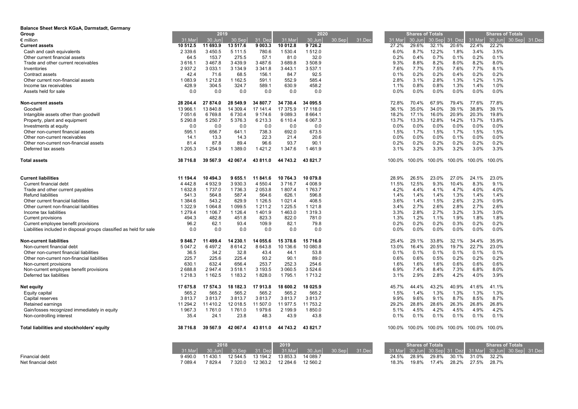| Balance Sheet Merck KGaA, Darmstadt, Germany                        |                   |                    |                   |                      |                  |                   |                                                                                                                                                                                                                                                                                                                     |              |                         |              |                |              |                         |               |
|---------------------------------------------------------------------|-------------------|--------------------|-------------------|----------------------|------------------|-------------------|---------------------------------------------------------------------------------------------------------------------------------------------------------------------------------------------------------------------------------------------------------------------------------------------------------------------|--------------|-------------------------|--------------|----------------|--------------|-------------------------|---------------|
| Group                                                               |                   | 2019               |                   |                      |                  | 2020              |                                                                                                                                                                                                                                                                                                                     |              | <b>Shares of Totals</b> |              |                |              | <b>Shares of Totals</b> |               |
| $\epsilon$ million                                                  | 31.Mar            | 30.Jun             | 30.Sep            | 31. Dez              | 31.Mar           | 30.Jun            | 30.Sep<br>31.Dec                                                                                                                                                                                                                                                                                                    | 31.Mar       | 30.Jun                  |              | 30.Sep 31. Dez | 31.Mar       | 30.Jun                  | 30.Sep 31.Dec |
| <b>Current assets</b>                                               | 10 512.5          | 11 693.9           | 13 517.6          | 9 003.3              | 10 012.8         | 9726.2            |                                                                                                                                                                                                                                                                                                                     | 27.2%        | 29.6%                   | 32.1%        | 20.6%          | 22.4%        | 22.2%                   |               |
| Cash and cash equivalents                                           | 2 3 3 9.6         | 3 4 5 0.5          | 5 111.5           | 780.6                | 1 530.4          | 1512.0            |                                                                                                                                                                                                                                                                                                                     | 6.0%         | 8.7%                    | 12.2%        | 1.8%           | 3.4%         | 3.5%                    |               |
| Other current financial assets                                      | 64.5              | 153.7              | 275.5             | 57.1                 | 81.0             | 32.0              |                                                                                                                                                                                                                                                                                                                     | 0.2%         | 0.4%                    | 0.7%         | 0.1%           | 0.2%         | 0.1%                    |               |
| Trade and other current receivables                                 | 3 6 1 6.1         | 3 4 6 7 . 8        | 3 4 3 9.9         | 3 487.6              | 3 689.8          | 3 508.9           |                                                                                                                                                                                                                                                                                                                     | 9.3%         | 8.8%                    | 8.2%         | 8.0%           | 8.2%         | 8.0%                    |               |
| Inventories                                                         | 2 9 3 7.2<br>42.4 | 3 0 3 3 . 1        | 3 1 3 4 .9        | 3 3 4 1 . 8<br>156.1 | 3 4 4 3 . 1      | 3 537.1<br>92.5   |                                                                                                                                                                                                                                                                                                                     | 7.6%<br>0.1% | 7.7%<br>0.2%            | 7.5%<br>0.2% | 7.6%<br>0.4%   | 7.7%<br>0.2% | 8.1%<br>0.2%            |               |
| Contract assets                                                     |                   | 71.6               | 68.5              |                      | 84.7             |                   |                                                                                                                                                                                                                                                                                                                     |              |                         |              |                |              |                         |               |
| Other current non-financial assets                                  | 1 0 8 3 . 9       | 1 2 1 2.8<br>304.5 | 1 1 6 2.5         | 591.1<br>589.1       | 552.9<br>630.9   | 585.4<br>458.2    |                                                                                                                                                                                                                                                                                                                     | 2.8%<br>1.1% | 3.1%<br>0.8%            | 2.8%<br>0.8% | 1.3%<br>1.3%   | 1.2%<br>1.4% | 1.3%<br>1.0%            |               |
| Income tax receivables<br>Assets held for sale                      | 428.9<br>0.0      | 0.0                | 324.7<br>0.0      | 0.0                  | 0.0              | 0.0               |                                                                                                                                                                                                                                                                                                                     | 0.0%         | 0.0%                    | 0.0%         | 0.0%           | 0.0%         | 0.0%                    |               |
| <b>Non-current assets</b>                                           | 28 204.4          | 27 874.0           | 28 549.9          | 34 807.7             | 34 730.4         | 34 095.5          |                                                                                                                                                                                                                                                                                                                     | 72.8%        | 70.4%                   | 67.9%        | 79.4%          | 77.6%        | 77.8%                   |               |
| Goodwill                                                            | 13 966.1          | 13 840.8           | 14 309.4          | 17 141.4             | 17 375.9         | 17 118.0          |                                                                                                                                                                                                                                                                                                                     | 36.1%        | 35.0%                   | 34.0%        | 39.1%          | 38.8%        | 39.1%                   |               |
| Intangible assets other than goodwill                               | 7 0 5 1 . 6       | 6769.8             | 6730.4            | 9 174.6              | 9 0 8 9 . 3      | 8 6 6 4.1         |                                                                                                                                                                                                                                                                                                                     | 18.2%        | 17.1%                   | 16.0%        | 20.9%          | 20.3%        | 19.8%                   |               |
| Property, plant and equipment                                       | 5 290.8           | 5 2 5 0.7          | 5 376.3           | 6 213.3              | 6 110.4          | 6 0 67.3          |                                                                                                                                                                                                                                                                                                                     | 13.7%        | 13.3%                   | 12.8%        | 14.2%          | 13.7%        | 13.8%                   |               |
| Investments at equity                                               | 0.0               | 0.0                | 0.0               | 0.0                  | 0.0              | 0.0               |                                                                                                                                                                                                                                                                                                                     | 0.0%         | 0.0%                    | 0.0%         | $0.0\%$        | 0.0%         | 0.0%                    |               |
| Other non-current financial assets                                  | 595.1             | 656.7              | 641.1             | 738.3                | 692.0            | 673.5             |                                                                                                                                                                                                                                                                                                                     | 1.5%         | 1.7%                    | 1.5%         | 1.7%           | 1.5%         | 1.5%                    |               |
| Other non-current receivables                                       | 14.1              | 13.3               | 14.3              | 22.3                 | 21.4             | 20.6              |                                                                                                                                                                                                                                                                                                                     | 0.0%         | 0.0%                    | 0.0%         | 0.1%           | 0.0%         | 0.0%                    |               |
| Other non-current non-financial assets                              | 81.4              | 87.8               | 89.4              | 96.6                 | 93.7             | 90.1              |                                                                                                                                                                                                                                                                                                                     | 0.2%         | 0.2%                    | 0.2%         | 0.2%           | 0.2%         | 0.2%                    |               |
| Deferred tax assets                                                 | 1 205.3           | 1 2 5 4 .9         | 1 3 8 9 . 0       | 1421.2               | 1 347.6          | 1461.9            |                                                                                                                                                                                                                                                                                                                     | 3.1%         | 3.2%                    | 3.3%         | 3.2%           | 3.0%         | 3.3%                    |               |
| <b>Total assets</b>                                                 | 38 716.8          | 39 567.9           | 42 067.4          | 43 811.0             | 44 743.2         | 43 821.7          |                                                                                                                                                                                                                                                                                                                     | 100.0%       | 100.0%                  | 100.0%       | 100.0%         | 100.0%       | 100.0%                  |               |
| <b>Current liabilities</b>                                          | 11 194.4          | 10 494.3           | 9 655.1           | 11 841.6             | 10 764.3         | 10 079.8          |                                                                                                                                                                                                                                                                                                                     | 28.9%        | 26.5%                   | 23.0%        | 27.0%          | 24.1%        | 23.0%                   |               |
| Current financial debt                                              | 4 4 4 2.8         | 4 9 3 2.9          | 3 9 3 0 . 3       | 4 5 5 0.4            | 3716.7           | 4 0 0 8.9         |                                                                                                                                                                                                                                                                                                                     | 11.5%        | 12.5%                   | 9.3%         | 10.4%          | 8.3%         | 9.1%                    |               |
| Trade and other current payables                                    | 1 632.8           | 1 7 3 7 .0         | 1736.3            | 2 0 5 3.8            | 1 807.4          | 1763.7            |                                                                                                                                                                                                                                                                                                                     | 4.2%         | 4.4%                    | 4.1%         | 4.7%           | 4.0%         | 4.0%                    |               |
| <b>Refund liabilities</b>                                           | 541.3             | 564.8              | 587.4             | 564.6                | 626.1            | 596.8             |                                                                                                                                                                                                                                                                                                                     | 1.4%         | 1.4%                    | 1.4%         | 1.3%           | 1.4%         | 1.4%                    |               |
| Other current financial liabilities                                 | 1 3 8 4 . 6       | 543.2              | 629.9             | 1 1 2 6.5            | 1 0 2 1 .4       | 408.5             |                                                                                                                                                                                                                                                                                                                     | 3.6%         | 1.4%                    | 1.5%         | 2.6%           | 2.3%         | 0.9%                    |               |
| Other current non-financial liabilities                             | 1 3 2 2.9         | 1 0 64.8           | 1 0 9 9.5         | 1 211.2              | 1 2 2 5 . 5      | 1 1 2 1 . 8       |                                                                                                                                                                                                                                                                                                                     | 3.4%         | 2.7%                    | 2.6%         | 2.8%           | 2.7%         | 2.6%                    |               |
| Income tax liabilities                                              | 1 279.4           | 1 106.7            | 1 1 2 6.4         | 1401.9               | 1463.0           | 1 3 1 9 . 3       |                                                                                                                                                                                                                                                                                                                     | 3.3%         | 2.8%                    | 2.7%         | 3.2%           | 3.3%         | 3.0%                    |               |
| <b>Current provisions</b>                                           | 494.3             | 482.8              | 451.8             | 823.3                | 822.0            | 781.0             |                                                                                                                                                                                                                                                                                                                     | 1.3%         | 1.2%                    | 1.1%         | 1.9%           | 1.8%         | 1.8%                    |               |
| Current employee benefit provisions                                 | 96.2              | 62.1               | 93.4              | 109.9                | 82.1             | 79.8              |                                                                                                                                                                                                                                                                                                                     | 0.2%         | 0.2%                    | 0.2%         | 0.3%           | 0.2%         | 0.2%                    |               |
| Liabilities included in disposal groups classified as held for sale | 0.0               | 0.0                | 0.0               | 0.0                  | 0.0              | 0.0               |                                                                                                                                                                                                                                                                                                                     | $0.0\%$      | 0.0%                    | 0.0%         | 0.0%           | 0.0%         | 0.0%                    |               |
| Non-current liabilities                                             | 9 846.7           | 11 499.4           | 14 230.1          | 14 055.6             | 15 378.6         | 15 716.0          |                                                                                                                                                                                                                                                                                                                     | 25.4%        | 29.1%                   | 33.8%        | 32.1%          | 34.4%        | 35.9%                   |               |
| Non-current financial debt                                          | 5 047.2           | 6497.2             | 8 6 1 4.2         | 8 643.8              | 10 136.6         | 10 080.8          |                                                                                                                                                                                                                                                                                                                     | 13.0%        | 16.4%                   | 20.5%        | 19.7%          | 22.7%        | 23.0%                   |               |
| Other non-current financial liabilities                             | 36.5              | 34.2               | 32.8              | 43.4                 | 44.1             | 53.8              |                                                                                                                                                                                                                                                                                                                     | 0.1%         | 0.1%                    | 0.1%         | 0.1%           | 0.1%         | 0.1%                    |               |
| Other non-current non-financial liabilities                         | 225.7             | 225.6              | 225.4             | 93.2                 | 90.1             | 89.0              |                                                                                                                                                                                                                                                                                                                     | 0.6%         | 0.6%                    | 0.5%         | 0.2%           | 0.2%         | 0.2%                    |               |
| Non-current provisions                                              | 630.1<br>2 688.8  | 632.4<br>2 947.4   | 656.4             | 253.7<br>3 193.5     | 252.3<br>3 060.5 | 254.6<br>3 5 24.6 |                                                                                                                                                                                                                                                                                                                     | 1.6%<br>6.9% | 1.6%<br>7.4%            | 1.6%<br>8.4% | 0.6%<br>7.3%   | 0.6%<br>6.8% | 0.6%<br>8.0%            |               |
| Non-current employee benefit provisions<br>Deferred tax liabilities | 1 2 1 8 . 3       | 1 1 6 2 . 5        | 3518.1<br>1 183.2 | 1828.0               | 1 7 9 5.1        | 1 7 1 3.2         |                                                                                                                                                                                                                                                                                                                     | 3.1%         | 2.9%                    | 2.8%         | 4.2%           | 4.0%         | 3.9%                    |               |
| Net equity                                                          | 17 675.8          | 17 574.3           | 18 182.3          | 17913.8              | 18 600.2         | 18 0 25.9         |                                                                                                                                                                                                                                                                                                                     | 45.7%        | 44.4%                   | 43.2%        | 40.9%          | 41.6%        | 41.1%                   |               |
| Equity capital                                                      | 565.2             | 565.2              | 565.2             | 565.2                | 565.2            | 565.2             |                                                                                                                                                                                                                                                                                                                     | 1.5%         | 1.4%                    | 1.3%         | 1.3%           | 1.3%         | 1.3%                    |               |
| Capital reserves                                                    | 3813.7            | 3813.7             | 3813.7            | 3813.7               | 3813.7           | 3813.7            |                                                                                                                                                                                                                                                                                                                     | 9.9%         | 9.6%                    | 9.1%         | 8.7%           | 8.5%         | 8.7%                    |               |
| Retained earnings                                                   | 11 294.2          | 11 410.2           | 12 018.5          | 11 507.0             | 11977.5          | 11 753.2          |                                                                                                                                                                                                                                                                                                                     | 29.2%        | 28.8%                   | 28.6%        | 26.3%          | 26.8%        | 26.8%                   |               |
| Gain/losses recognized immediately in equity                        | 1967.3            | 1761.0             | 1761.0            | 1979.6               | 2 199.9          | 1850.0            |                                                                                                                                                                                                                                                                                                                     | 5.1%         | 4.5%                    | 4.2%         | 4.5%           | 4.9%         | 4.2%                    |               |
| Non-controlling interest                                            | 35.4              | 24.1               | 23.8              | 48.3                 | 43.9             | 43.8              |                                                                                                                                                                                                                                                                                                                     | 0.1%         | 0.1%                    | 0.1%         | 0.1%           | 0.1%         | 0.1%                    |               |
| Total liabilities and stockholders' equity                          | 38 716.8          | 39 567.9           | 42 067.4          | 43 811.0             | 44 743.2         | 43 821.7          |                                                                                                                                                                                                                                                                                                                     | 100.0%       | 100.0%                  | 100.0%       | 100.0%         | 100.0%       | 100.0%                  |               |
|                                                                     |                   | 2018               |                   |                      | 2019             |                   |                                                                                                                                                                                                                                                                                                                     |              | <b>Shares of Totals</b> |              |                |              | <b>Shares of Totals</b> |               |
|                                                                     | $0.131 \pm 0.02$  |                    |                   |                      |                  |                   | $\frac{1}{2}$ $\frac{1}{2}$ $\frac{1}{2}$ $\frac{1}{2}$ $\frac{1}{2}$ $\frac{1}{2}$ $\frac{1}{2}$ $\frac{1}{2}$ $\frac{1}{2}$ $\frac{1}{2}$ $\frac{1}{2}$ $\frac{1}{2}$ $\frac{1}{2}$ $\frac{1}{2}$ $\frac{1}{2}$ $\frac{1}{2}$ $\frac{1}{2}$ $\frac{1}{2}$ $\frac{1}{2}$ $\frac{1}{2}$ $\frac{1}{2}$ $\frac{1}{2}$ |              |                         |              |                |              |                         |               |

|                    | тишк<br>ZU 19. |        |  |  |                           |                                                        |  |       |                                                          | Shares of Totals |                                   |             | Shares of Totals |  |
|--------------------|----------------|--------|--|--|---------------------------|--------------------------------------------------------|--|-------|----------------------------------------------------------|------------------|-----------------------------------|-------------|------------------|--|
|                    |                |        |  |  |                           | 30.Jun  30.Sep  31.Dez  31.Mar  30.Jun  30.Sep  31.Dec |  |       | 31.Mar 30.Jun 30.Sep 31. Dez 31.Mar 30.Jun 30.Sep 31.Dec |                  |                                   |             |                  |  |
| Financial debt     | 9 490.0        |        |  |  |                           | 14 089.7                                               |  | 24.5% | 28.9%                                                    |                  | 29.8% 30.1%                       | 31.0% 32.2% |                  |  |
| Net financial debt |                | 7829.4 |  |  | 7 320.0 12 363.2 12 284.6 | 12 560.2                                               |  | 18.3% |                                                          |                  | 19.8%  17.4%  28.2%  27.5%  28.7% |             |                  |  |